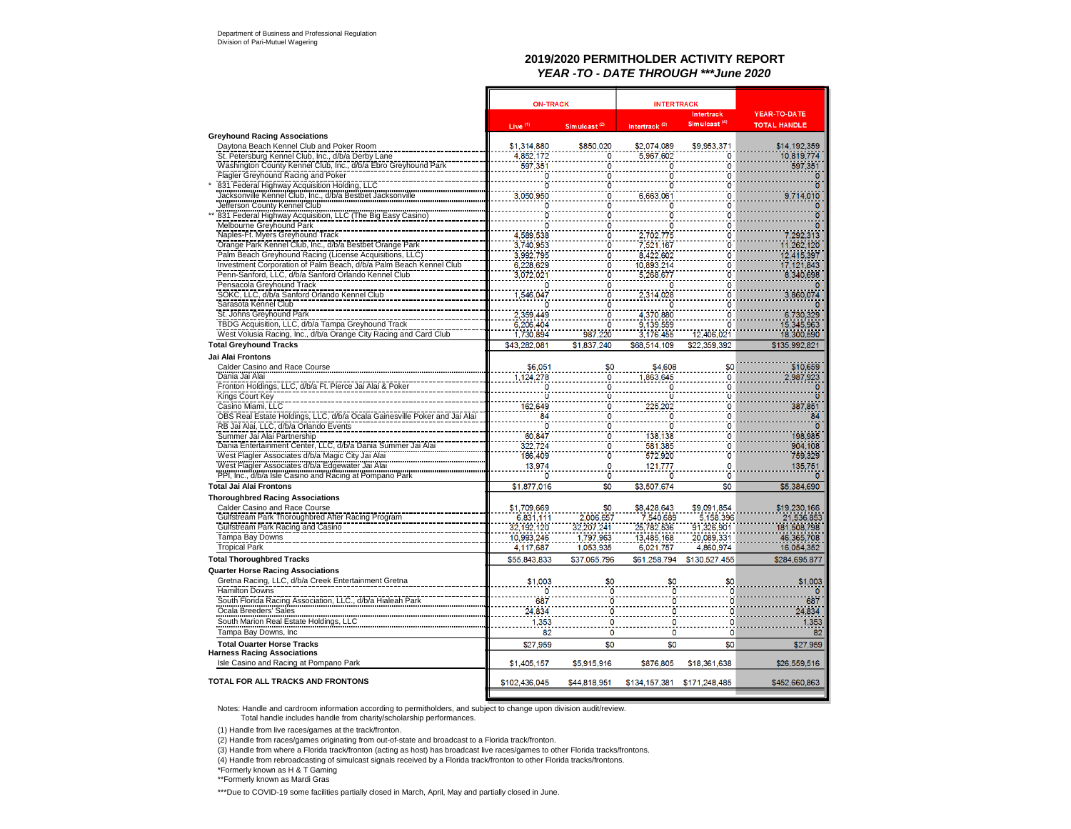### **2019/2020 PERMITHOLDER ACTIVITY REPORT***YEAR -TO - DATE THROUGH \*\*\*June 2020*

|                                                                                                            | <b>ON-TRACK</b>        |                             | <b>INTERTRACK</b>         |                          |                     |
|------------------------------------------------------------------------------------------------------------|------------------------|-----------------------------|---------------------------|--------------------------|---------------------|
|                                                                                                            |                        |                             |                           | Intertrack               | YEAR-TO-DATE        |
|                                                                                                            | Live $(1)$             | $Sim$ ulcast <sup>(2)</sup> | Intertrack <sup>(3)</sup> | Simulcast <sup>(4)</sup> | <b>TOTAL HANDLE</b> |
| <b>Greyhound Racing Associations</b>                                                                       |                        |                             |                           |                          |                     |
| Daytona Beach Kennel Club and Poker Room                                                                   | \$1,314,880            | \$850,020                   | \$2,074,089               | \$9,953,371              | \$14,192,359        |
| St. Petersburg Kennel Club, Inc., d/b/a Derby Lane                                                         | 4.852.172              | 0                           | 5.967.602                 | 0                        | 10,819,774          |
| Washington County Kennel Club, Inc., d/b/a Ebro Greyhound Park                                             | 597.351                |                             | $\mathbf 0$               | $\mathbf{0}$             | 597,351             |
| Flagler Greyhound Racing and Poker                                                                         | ö                      |                             | ٥                         | 0<br>ö                   |                     |
| 831 Federal Highway Acquisition Holding, LLC<br>Jacksonville Kennel Club, Inc., d/b/a Bestbet Jacksonville |                        |                             | 0                         |                          |                     |
| Jefferson County Kennel Club                                                                               | 3,050,950<br>0         |                             | 6,663,061                 | 0<br>0                   | 714,010             |
| 831 Federal Highway Acquisition, LLC (The Big Easy Casino)                                                 |                        |                             |                           | ö                        |                     |
| Melbourne Greyhound Park                                                                                   |                        |                             |                           | 0                        |                     |
| Naples-Ft. Myers Greyhound Track                                                                           | 4.589.538              |                             | 2,702,775                 | ö                        | 7.292.313           |
| Orange Park Kennel Club, Inc., d/b/a Bestbet Orange Park                                                   | 3.740,953              |                             | 7,521,167                 | Ö                        | 11,262,120          |
| Palm Beach Greyhound Racing (License Acquisitions, LLC)                                                    | 3,992,795              | 0                           | 8,422,602                 | Ö                        | 12,415,397          |
| Investment Corporation of Palm Beach, d/b/a Palm Beach Kennel Club                                         | 6,228,629              |                             | 10,893,214                | 0                        | 17, 121, 843        |
| Penn-Sanford, LLC, d/b/a Sanford Orlando Kennel Club                                                       | 3.072.021              |                             | 5.268.677                 | o                        | 8.340,698           |
| Pensacola Greyhound Track                                                                                  |                        |                             |                           | 0                        |                     |
| SOKC, LLC, d/b/a Sanford Orlando Kennel Club                                                               | 1,546,047              |                             | 2,314,028                 | 0                        | 3,860,074           |
| Sarasota Kennel Club                                                                                       |                        |                             |                           | ö                        |                     |
| St. Johns Greyhound Park                                                                                   | 2.359.449              |                             | 4,370,880                 | 0                        | 6,730,329           |
| TBDG Acquisition, LLC, d/b/a Tampa Greyhound Track                                                         |                        |                             |                           | ö                        | 15,345,963          |
| West Volusia Racing, Inc., d/b/a Orange City Racing and Card Club                                          | 6,206,404<br>1,730,894 | 987,220                     | 9,139,559<br>3,176,455    | 12,406,021               | 18,300,590          |
| <b>Total Greyhound Tracks</b>                                                                              | \$43,282,081           | \$1,837,240                 | \$68,514,109              | \$22,359,392             | \$135,992,821       |
| Jai Alai Frontons                                                                                          |                        |                             |                           |                          |                     |
| Calder Casino and Race Course                                                                              | \$6.051                | \$0                         | \$4,608                   | \$0                      | \$10,659            |
| Dania Jai Alai                                                                                             | 1.124,278              | 0                           | 1,863,645                 | ö                        | 987.923             |
| Fronton Holdings, LLC, d/b/a Ft. Pierce Jai Alai & Poker                                                   |                        | 0                           |                           | 0                        |                     |
| Kings Court Key                                                                                            | ö                      | n                           | ō                         | Ö                        | $\overline{0}$      |
| Casino Miami, LLC                                                                                          | 162,649                | 0                           | 225.202                   | ö                        | 387,851             |
| OBS Real Estate Holdings, LLC, d/b/a Ocala Gainesville Poker and Jai Alai                                  | 84                     |                             | n                         | 0                        | 84                  |
| RB Jai Alai, LLC, d/b/a Orlando Events                                                                     |                        | Ō                           | Ō                         | ö                        | $\overline{0}$      |
| Summer Jai Alai Partnership                                                                                | 60,847                 | n                           | 138,138                   | Ö                        | 198,985             |
| Dania Entertainment Center, LLC, d/b/a Dania Summer Jai Alai                                               | 322.724                | 0                           | 581.385                   | 0                        | 904.108             |
| West Flagler Associates d/b/a Magic City Jai Alai<br>West Flagler Associates d/b/a Edgewater Jai Alai      | 186,409                |                             | 572.920                   | Ō                        | 759.329             |
|                                                                                                            | 13,974                 | 0                           | 121,777                   | 0                        | 135,751             |
| PPI, Inc., d/b/a Isle Casino and Racing at Pompano Park                                                    |                        | Ō                           | O                         | ö                        |                     |
| <b>Total Jai Alai Frontons</b>                                                                             | \$1,877,016            | \$0                         | \$3,507.674               | \$0                      | \$5.384,690         |
| <b>Thoroughbred Racing Associations</b>                                                                    |                        |                             |                           |                          |                     |
| Calder Casino and Race Course                                                                              | \$1,709,669            | S٥                          | \$8,428,643               | \$9,091,854              | \$19,230,166        |
| Gulfstream Park Thoroughbred After Racing Program                                                          | 6.831.111              | 2,006,657                   | 7.540.689                 | 5.158.396                | 21.536.853          |
| Gulfstream Park Racing and Casino                                                                          | 32.192.120             | 32.207.241                  | 25.782.536                | 91.326.901               | 181.508.798         |
| Tampa Bay Downs                                                                                            | 10.993.246             | 1,797,963                   | 13,485,168                | 20,089,331               | 46,365,708          |
| <b>Tropical Park</b>                                                                                       | 4.117.687              | 1.053.935                   | 6.021.757                 | 4.860.974                | 16.054.352          |
| <b>Total Thoroughbred Tracks</b>                                                                           | \$55,843,833           | \$37.065.796                | \$61.258.794              | \$130,527,455            | \$284.695.877       |
| <b>Quarter Horse Racing Associations</b>                                                                   |                        |                             |                           |                          |                     |
| Gretna Racing, LLC, d/b/a Creek Entertainment Gretna                                                       | \$1,003                | \$0                         | \$0                       | \$0                      | \$1,003             |
| <b>Hamilton Downs</b>                                                                                      | n                      | 0                           |                           | $\Omega$                 | n                   |
| South Florida Racing Association, LLC., d/b/a Hialeah Park                                                 | 687                    |                             |                           | ö                        | 687                 |
| Cicala Breeders Sales<br>South Marion Real Estate Holdings, LLC                                            | 24,834                 | 0                           | n                         | $\mathbf{0}$             | 24,834              |
|                                                                                                            | 1,353                  | O                           |                           | $\mathbf{0}$             | 1,353               |
| Tampa Bay Downs, Inc.                                                                                      | 82                     | 0                           | 0                         | 0                        | 82                  |
| <b>Total Ouarter Horse Tracks</b>                                                                          | \$27,959               | \$0                         | \$0                       | \$0                      | \$27.959            |
| <b>Harness Racing Associations</b>                                                                         |                        |                             |                           |                          |                     |
| Isle Casino and Racing at Pompano Park                                                                     | \$1,405,157            | \$5,915,916                 | \$876,805                 | \$18,361,638             | \$26,559,516        |
|                                                                                                            |                        |                             |                           |                          |                     |
| <b>TOTAL FOR ALL TRACKS AND FRONTONS</b>                                                                   | \$102,436,045          | \$44,818,951                | \$134,157,381             | \$171,248,485            | \$452,660,863       |
|                                                                                                            |                        |                             |                           |                          |                     |

Notes: Handle and cardroom information according to permitholders, and subject to change upon division audit/review.

Total handle includes handle from charity/scholarship performances.

(1) Handle from live races/games at the track/fronton.

(2) Handle from races/games originating from out-of-state and broadcast to a Florida track/fronton.

(3) Handle from where a Florida track/fronton (acting as host) has broadcast live races/games to other Florida tracks/frontons.

(4) Handle from rebroadcasting of simulcast signals received by a Florida track/fronton to other Florida tracks/frontons.

\*Formerly known as H & T Gaming

\*\*Formerly known as Mardi Gras

\*\*\*Due to COVID-19 some facilities partially closed in March, April, May and partially closed in June.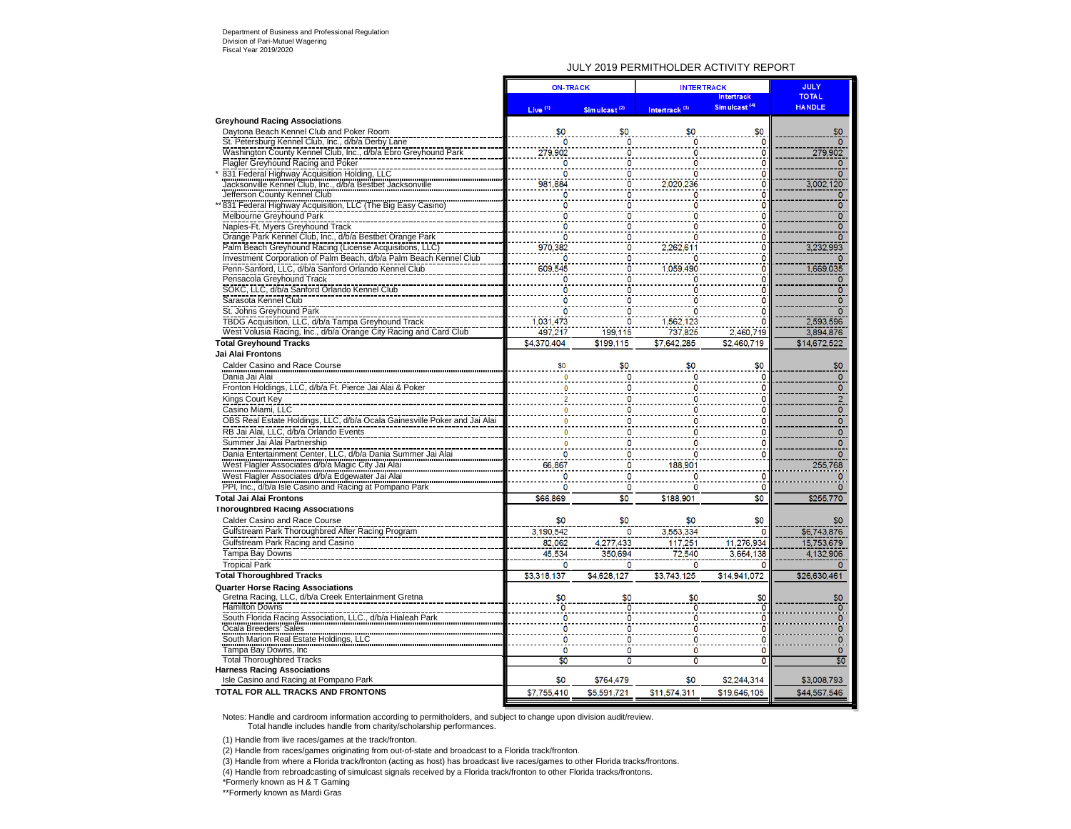#### Department of Business and Professional Regulation Division of Pari-Mutuel Wagering Fiscal Year 2019/2020

#### JULY 2019 PERMITHOLDER ACTIVITY REPORT

|                                                                                                            | <b>ON-TRACK</b> |                          | <b>INTERTRACK</b>         | <b>JULY</b>               |                         |
|------------------------------------------------------------------------------------------------------------|-----------------|--------------------------|---------------------------|---------------------------|-------------------------|
|                                                                                                            |                 |                          |                           | Intertrack                | <b>TOTAL</b>            |
|                                                                                                            | Live $(1)$      | Simulcast <sup>(2)</sup> | Intertrack <sup>(3)</sup> | Sim ulcast <sup>(4)</sup> | <b>HANDLE</b>           |
| <b>Greyhound Racing Associations</b>                                                                       |                 |                          |                           |                           |                         |
| Daytona Beach Kennel Club and Poker Room                                                                   | \$0             | \$0                      |                           | \$0                       | \$0                     |
| St. Petersburg Kennel Club, Inc., d/b/a Derby Lane                                                         |                 |                          |                           |                           | $\Omega$                |
| Washington County Kennel Club, Inc., d/b/a Ebro Greyhound Park                                             | 279,902         | 0                        | 0                         | 0                         | 279,902                 |
| Flagler Greyhound Racing and Poker                                                                         | n               |                          | Ō                         | $\mathbf{0}$              | $\Omega$                |
| 831 Federal Highway Acquisition Holding, LLC<br>Jacksonville Kennel Club, Inc., d/b/a Bestbet Jacksonville | ٥               |                          | ٥                         | 0                         | $\Omega$                |
|                                                                                                            | 981,884         | 0                        | 2,020,236                 | $\ddot{\mathbf{0}}$       | 3,002,120               |
| Jefferson County Kennel Club                                                                               |                 | n                        | n                         | $\overline{0}$            | $\Omega$                |
| 831 Federal Highway Acquisition, LLC (The Big Easy Casino)                                                 |                 |                          |                           | ö                         | ō                       |
| Melbourne Greyhound Park                                                                                   |                 |                          |                           | $\Omega$                  | $\frac{1}{10}$          |
| Naples-Ft. Myers Greyhound Track                                                                           | n               |                          | 0                         | $\bf{0}$                  |                         |
| Orange Park Kennel Club, Inc., d/b/a Bestbet Orange Park                                                   |                 |                          | Ō                         | Ô                         | $\overline{\mathsf{o}}$ |
| Palm Beach Greyhound Racing (License Acquisitions, LLC)                                                    | 970,382         |                          | 2,262,611                 | 0                         | 3,232,993               |
| Investment Corporation of Palm Beach, d/b/a Palm Beach Kennel Club                                         |                 |                          | n                         | 0                         |                         |
| Penn-Sanford, LLC, d/b/a Sanford Orlando Kennel Club                                                       | 609.545         |                          | 1.059.490                 | ö                         | 1.669.035               |
| Pensacola Greyhound Track                                                                                  |                 |                          | Ω                         | 0                         | ٥                       |
| SOKC, LLC, d/b/a Sanford Orlando Kennel Club                                                               |                 |                          |                           | 0                         | 0                       |
| Sarasota Kennel Club                                                                                       |                 |                          |                           | 0                         | $\overline{0}$          |
| St. Johns Greyhound Park                                                                                   |                 |                          | ٥                         | ō                         | $\overline{0}$          |
| TBDG Acquisition, LLC, d/b/a Tampa Greyhound Track                                                         | 1.031.473       |                          | 1,562,123                 | O                         | 2.593.596               |
| West Volusia Racing, Inc., d/b/a Orange City Racing and Card Club                                          | 497.217         | 199,115                  | 737.825                   | 2,460,719                 | 3.894.876               |
| <b>Total Greyhound Tracks</b>                                                                              | \$4,370,404     | \$199,115                | \$7,642,285               | \$2,460,719               | \$14,672,522            |
| Jai Alai Frontons                                                                                          |                 |                          |                           |                           |                         |
|                                                                                                            |                 |                          |                           |                           |                         |
| Calder Casino and Race Course                                                                              |                 | \$0                      | \$0                       | \$0                       | \$0                     |
| Dania Jai Alai                                                                                             |                 |                          |                           | 0                         | $\circ$                 |
| Fronton Holdings, LLC, d/b/a Ft. Pierce Jai Alai & Poker                                                   |                 |                          | Ω                         | 0                         | $\mathbf 0$             |
| Kings Court Key                                                                                            |                 |                          | ٥                         | O                         | $\frac{2}{0}$           |
| Casino Miami. LLC                                                                                          |                 |                          | 0                         | $\circ$                   |                         |
| OBS Real Estate Holdings, LLC, d/b/a Ocala Gainesville Poker and Jai Alai                                  |                 |                          | ٥                         | $\mathbf 0$               |                         |
| RB Jai Alai, LLC, d/b/a Orlando Events                                                                     |                 |                          |                           | C                         | 0                       |
| Summer Jai Alai Partnership                                                                                |                 |                          | ٥                         | 0                         | $\ddot{\mathbf{0}}$     |
| Dania Entertainment Center, LLC, d/b/a Dania Summer Jai Alai                                               |                 |                          | ٥                         | $\bf{0}$                  | $\frac{5}{0}$           |
| West Flagler Associates d/b/a Magic City Jai Alai                                                          | 66,867          |                          | 188,901                   |                           | 255,768                 |
| West Flagler Associates d/b/a Edgewater Jai Alai                                                           | ٥               |                          | ٥                         | 0                         | $\mathbf{0}$            |
|                                                                                                            |                 |                          |                           | O                         | Ō                       |
| PPI, Inc., d/b/a Isle Casino and Racing at Pompano Park                                                    | 0               | $\circ$                  | ٥                         |                           |                         |
| <b>Total Jai Alai Frontons</b>                                                                             | \$66,869        | \$0                      | \$188,901                 | \$0                       | \$255,770               |
| <b>Thoroughbred Racing Associations</b>                                                                    |                 |                          |                           |                           |                         |
| Calder Casino and Race Course                                                                              | \$0             | \$0                      | \$0                       | \$0                       | \$0                     |
| Gulfstream Park Thoroughbred After Racing Program                                                          | 3,190,542       | 0                        | 3,553,334                 | $\mathbf 0$               | \$6,743,876             |
| Gulfstream Park Racing and Casino                                                                          | 82,062          | 4,277,433                | 117,251                   | 11,276,934                | 15,753,679              |
| Tampa Bay Downs                                                                                            | 45,534          | 350,694                  | 72,540                    | 3,664,138                 | 4,132,906               |
| <b>Tropical Park</b>                                                                                       | 0               | n                        | Ō                         | n                         |                         |
| <b>Total Thoroughbred Tracks</b>                                                                           | \$3,318,137     | \$4,628,127              | \$3,743,125               | \$14,941,072              | \$26,630,461            |
| <b>Quarter Horse Racing Associations</b>                                                                   |                 |                          |                           |                           |                         |
| Gretna Racing, LLC, d/b/a Creek Entertainment Gretna                                                       | \$0             | \$0                      | \$0                       | \$0                       | \$0                     |
| <b>Hamilton Downs</b>                                                                                      |                 |                          |                           | ö                         |                         |
| South Florida Racing Association, LLC., d/b/a Hialeah Park                                                 |                 |                          |                           | 0                         |                         |
| Ocala Breeders' Sales                                                                                      |                 |                          | ٥                         | 0                         | ö                       |
| South Marion Real Estate Holdings, LLC                                                                     |                 |                          | ٥                         | 0                         | o                       |
| Tampa Bay Downs, Inc.                                                                                      | 0               | O                        | 0                         | O                         | $\circ$                 |
| <b>Total Thoroughbred Tracks</b>                                                                           | \$0             | $\overline{0}$           | Ō                         | $\overline{0}$            | \$0                     |
| <b>Harness Racing Associations</b>                                                                         |                 |                          |                           |                           |                         |
| Isle Casino and Racing at Pompano Park                                                                     | \$0             | \$764,479                | \$0                       | \$2,244,314               | \$3,008,793             |
| <b>TOTAL FOR ALL TRACKS AND FRONTONS</b>                                                                   | \$7,755,410     |                          | \$11,574.311              | \$19,646,105              | \$44,567,546            |
|                                                                                                            |                 | \$5,591,721              |                           |                           |                         |

Notes: Handle and cardroom information according to permitholders, and subject to change upon division audit/review. Total handle includes handle from charity/scholarship performances.

(1) Handle from live races/games at the track/fronton.

(2) Handle from races/games originating from out-of-state and broadcast to a Florida track/fronton.

(3) Handle from where a Florida track/fronton (acting as host) has broadcast live races/games to other Florida tracks/frontons.

(4) Handle from rebroadcasting of simulcast signals received by a Florida track/fronton to other Florida tracks/frontons.

\*Formerly known as H & T Gaming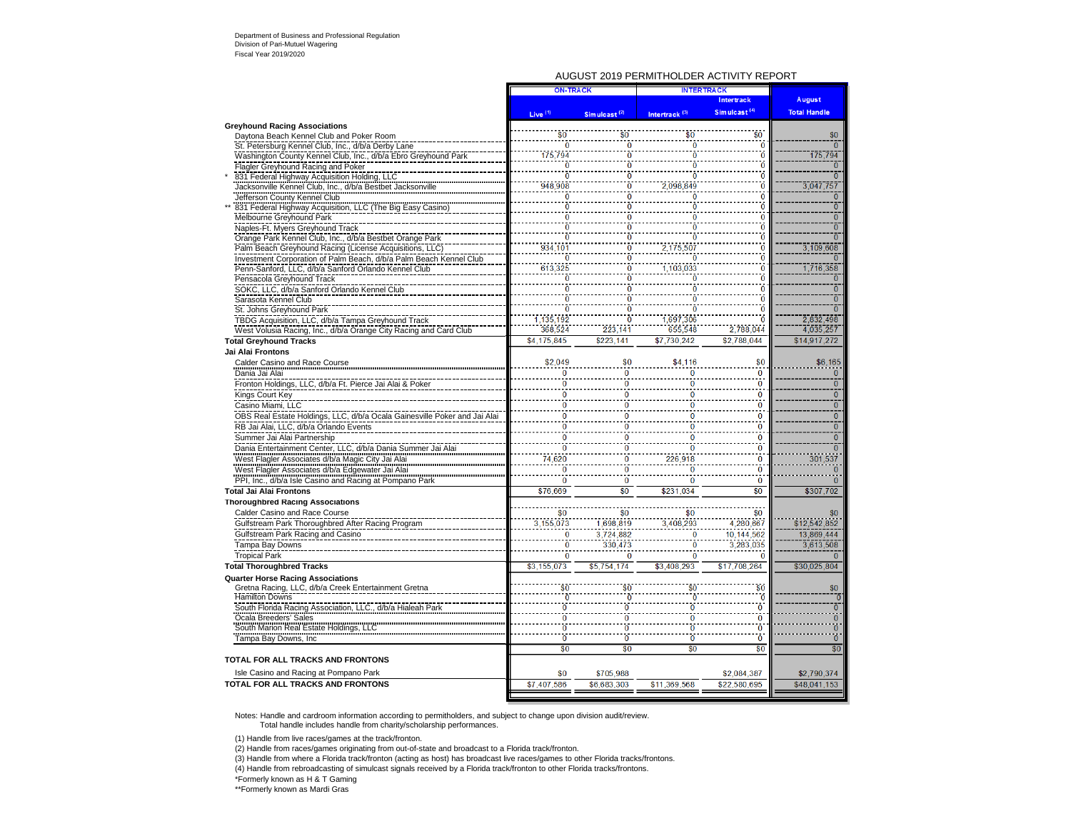#### AUGUST 2019 PERMITHOLDER ACTIVITY REPORT

|                                                                                                            | <b>ON-TRACK</b>     |                          | <b>INTERTRACK</b>         |                          |                     |  |
|------------------------------------------------------------------------------------------------------------|---------------------|--------------------------|---------------------------|--------------------------|---------------------|--|
|                                                                                                            |                     |                          |                           | Intertrack               | August              |  |
|                                                                                                            | Live <sup>(1)</sup> | Simulcast <sup>(2)</sup> | Intertrack <sup>(3)</sup> | Simulcast <sup>(4)</sup> | <b>Total Handle</b> |  |
| <b>Greyhound Racing Associations</b>                                                                       |                     |                          |                           |                          |                     |  |
| Daytona Beach Kennel Club and Poker Room                                                                   | \$0                 | \$0                      | \$0                       | \$0                      | \$0                 |  |
| St. Petersburg Kennel Club, Inc., d/b/a Derby Lane                                                         | $\bf{0}$            | $\Omega$                 | $\overline{0}$            | O                        |                     |  |
| Washington County Kennel Club, Inc., d/b/a Ebro Greyhound Park                                             | 175,794             | ò                        | $\ddot{\Omega}$           | ö                        | 175,794             |  |
| Flagler Greyhound Racing and Poker                                                                         | 0                   | Ō                        | Ō                         |                          |                     |  |
| 831 Federal Highway Acquisition Holding, LLC<br>Jacksonville Kennel Club, Inc., d/b/a Bestbet Jacksonville | Ō                   |                          | Ō                         |                          | $\overline{0}$      |  |
|                                                                                                            | 948,908             | $\bf{0}$                 | 2,098,849                 | 0                        | 3,047,757           |  |
| Jefferson County Kennel Club                                                                               | 0                   | $\bf{0}$                 | $\ddot{\mathbf{0}}$       | 0                        | $\mathbf{0}$        |  |
| 831 Federal Highway Acquisition, LLC (The Big Easy Casino)                                                 | Ō                   |                          |                           |                          | $\overline{0}$      |  |
| Melbourne Greyhound Park                                                                                   | Ō                   |                          | C                         |                          | $\bar{0}$           |  |
| Naples-Ft. Myers Greyhound Track                                                                           | ō                   |                          |                           |                          | ō                   |  |
| Orange Park Kennel Club, Inc., d/b/a Bestbet Orange Park                                                   | ò                   | $\ddot{\mathbf{0}}$      | Ö                         | O                        | $\overline{0}$      |  |
| Palm Beach Greyhound Racing (License Acquisitions, LLC)                                                    | 934,101             | 0                        | 2,175,507                 |                          | 3.109.608           |  |
| Investment Corporation of Palm Beach, d/b/a Palm Beach Kennel Club                                         | Ō                   | Ō                        | Ō                         | O                        | $\Omega$            |  |
| Penn-Sanford, LLC, d/b/a Sanford Orlando Kennel Club                                                       | 613,325             | 0                        | 1,103,033                 | n                        | 1,716,358           |  |
| Pensacola Greyhound Track                                                                                  | Ō                   | Ō                        | Ō                         |                          | $\Omega$            |  |
| SOKC, LLC, d/b/a Sanford Orlando Kennel Club                                                               | $\bf{0}$            | $\bf{0}$                 | $\Omega$                  |                          | $\overline{0}$      |  |
| Sarasota Kennel Club                                                                                       | ñ                   |                          |                           |                          | $\overline{0}$      |  |
| St. Johns Greyhound Park                                                                                   | Ō                   | Ō<br>$\overline{0}$      | Ō                         |                          | ō                   |  |
| TBDG Acquisition, LLC, d/b/a Tampa Greyhound Track                                                         | 1,135,192           |                          | 1,697,306                 |                          | 2,832,498           |  |
| West Volusia Racing, Inc., d/b/a Orange City Racing and Card Club                                          | 368.524             | 223.141                  | 655,548                   | 2.788.044                | 4,035,257           |  |
| <b>Total Greyhound Tracks</b>                                                                              | \$4,175,845         | \$223,141                | \$7,730,242               | \$2,788,044              | \$14,917,272        |  |
| Jai Alai Frontons                                                                                          |                     |                          |                           |                          |                     |  |
| Calder Casino and Race Course                                                                              | \$2,049             | \$0                      | \$4,116                   | \$0                      | \$6,165             |  |
| Dania Jai Alai                                                                                             | $\bf{0}$            | $\bf{0}$                 | $\bf{0}$                  | $\overline{0}$           | $\Omega$            |  |
| Fronton Holdings, LLC, d/b/a Ft. Pierce Jai Alai & Poker                                                   | ñ                   | $\overline{0}$           | n                         | $\overline{0}$           | $\overline{0}$      |  |
| Kings Court Key                                                                                            | 0                   | 0                        | 0                         | 0                        | $\mathbf{0}$        |  |
| Casino Miami, LLC                                                                                          | $\bf{0}$            | ö                        | $\bf{0}$                  | $\bf{0}$                 | $\overline{0}$      |  |
| OBS Real Estate Holdings, LLC, d/b/a Ocala Gainesville Poker and Jai Alai                                  | $\bf{0}$            | $\Omega$                 | $\bf{0}$                  | $\mathbf{0}$             | $\overline{0}$      |  |
| RB Jai Alai, LLC, d/b/a Orlando Events                                                                     | $\ddot{\mathbf{0}}$ | $\overline{0}$           | $\overline{0}$            | $\ddot{\mathbf{0}}$      | $\overline{0}$      |  |
| Summer Jai Alai Partnership                                                                                | $\bf{0}$            | 0                        | $\bf{0}$                  | $\bf{0}$                 | $\overline{0}$      |  |
| Dania Entertainment Center, LLC, d/b/a Dania Summer Jai Alai                                               | $\overline{0}$      | $\overline{0}$           | $\overline{0}$            | Ō                        | $\overline{0}$      |  |
| West Flagler Associates d/b/a Magic City Jai Alai                                                          | 74,620              | $\overline{0}$           | 226,918                   | $\overline{\mathbf{0}}$  | 301,537             |  |
| West Flagler Associates d/b/a Edgewater Jai Alai                                                           | $\Omega$            | $\overline{0}$           | $\bf{0}$                  | $\overline{0}$           | $\Omega$            |  |
| PPI, Inc., d/b/a Isle Casino and Racing at Pompano Park                                                    | $\bf{0}$            | $\bf{0}$                 | $\bf{0}$                  | $\bf{0}$                 | $\Omega$            |  |
| <b>Total Jai Alai Frontons</b>                                                                             | \$76,669            | \$0                      | \$231,034                 | $\overline{60}$          | \$307,702           |  |
| <b>Thoroughbred Racing Associations</b>                                                                    |                     |                          |                           |                          |                     |  |
| Calder Casino and Race Course                                                                              | \$0                 | \$0                      | \$0                       | \$0                      | \$0                 |  |
| Gulfstream Park Thoroughbred After Racing Program                                                          | 3.155.073           | 1,698,819                | 3.408.293                 | 4,280,667                | \$12.542.852        |  |
| Gulfstream Park Racing and Casino                                                                          | $\Omega$            | 3,724,882                | $\Omega$                  | 10,144,562               | 13,869,444          |  |
| Tampa Bay Downs                                                                                            | $\ddot{\mathbf{0}}$ | 330,473                  | Ō                         | 3,283,035                | 3,613,508           |  |
| <b>Tropical Park</b>                                                                                       | 0                   | $\Omega$                 | $\bf{0}$                  |                          | $\Omega$            |  |
| <b>Total Thoroughbred Tracks</b>                                                                           | \$3,155,073         | \$5,754,174              | \$3,408,293               | \$17,708,264             | \$30,025,804        |  |
|                                                                                                            |                     |                          |                           |                          |                     |  |
| <b>Quarter Horse Racing Associations</b><br>Gretna Racing, LLC, d/b/a Creek Entertainment Gretna           | \$0                 |                          | \$0                       | \$0                      | \$0                 |  |
| <b>Hamilton Downs</b>                                                                                      | ò                   |                          | Ō                         | 'n                       | ō                   |  |
| South Florida Racing Association, LLC., d/b/a Hialeah Park                                                 | $\overline{0}$      | ō                        | $\overline{0}$            | Ō                        | ō                   |  |
| Ocala Breeders' Sales                                                                                      | $\overline{0}$      | $\overline{0}$           | $\overline{0}$            | Ō                        | $\overline{0}$      |  |
| South Marion Real Estate Holdings, LLC                                                                     | $\overline{0}$      | ö                        | ö                         | Ō                        | $\overline{0}$      |  |
| Tampa Bay Downs, Inc.                                                                                      | $\overline{0}$      | $\overline{0}$           | $\overline{0}$            | Ō                        | $\overline{0}$      |  |
|                                                                                                            | \$0                 | \$0                      | \$0                       | \$0                      | \$0                 |  |
| TOTAL FOR ALL TRACKS AND FRONTONS                                                                          |                     |                          |                           |                          |                     |  |
|                                                                                                            |                     |                          |                           |                          |                     |  |
| Isle Casino and Racing at Pompano Park                                                                     | \$0                 | \$705,988                |                           | \$2,084,387              | \$2,790,374         |  |
| TOTAL FOR ALL TRACKS AND FRONTONS                                                                          | \$7,407.586         | \$6,683,303              | \$11.369.568              | \$22.580.695             | \$48,041,153        |  |
|                                                                                                            |                     |                          |                           |                          |                     |  |

Notes: Handle and cardroom information according to permitholders, and subject to change upon division audit/review. Total handle includes handle from charity/scholarship performances.

(1) Handle from live races/games at the track/fronton.

(2) Handle from races/games originating from out-of-state and broadcast to a Florida track/fronton.

(3) Handle from where a Florida track/fronton (acting as host) has broadcast live races/games to other Florida tracks/frontons.

(4) Handle from rebroadcasting of simulcast signals received by a Florida track/fronton to other Florida tracks/frontons.

\*Formerly known as H & T Gaming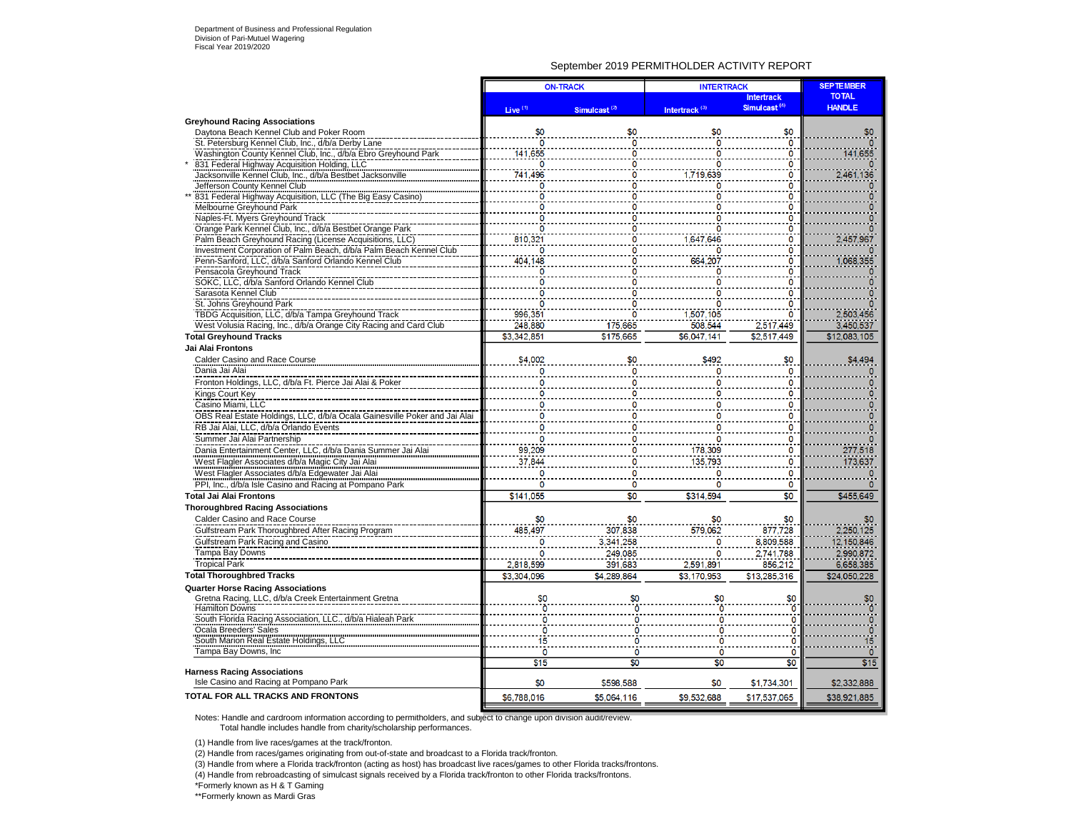### September 2019 PERMITHOLDER ACTIVITY REPORT

|                                                                           |                     | <b>ON-TRACK</b>          | <b>INTERTRACK</b>         | <b>SEPTEMBER</b>                              |                               |
|---------------------------------------------------------------------------|---------------------|--------------------------|---------------------------|-----------------------------------------------|-------------------------------|
|                                                                           |                     |                          | Intertrack <sup>(3)</sup> | <b>Intertrack</b><br>Simulcast <sup>(4)</sup> | <b>TOTAL</b><br><b>HANDLE</b> |
| <b>Greyhound Racing Associations</b>                                      | Live <sup>(1)</sup> | Simulcast <sup>(2)</sup> |                           |                                               |                               |
| Daytona Beach Kennel Club and Poker Room                                  | \$0                 | \$0                      |                           | \$0                                           | \$0                           |
| St. Petersburg Kennel Club, Inc., d/b/a Derby Lane                        | 0                   |                          |                           | ٥                                             |                               |
| Washington County Kennel Club, Inc., d/b/a Ebro Greyhound Park            | 141,655             |                          |                           | 0                                             | 141,655                       |
| 831 Federal Highway Acquisition Holding, LLC                              | 0                   |                          |                           | 0                                             |                               |
| Jacksonville Kennel Club, Inc., d/b/a Bestbet Jacksonville                | 741,496             |                          | 1,719,639                 | 0                                             | 2.461.136                     |
| Jefferson County Kennel Club                                              | 0                   | O                        |                           | Ō                                             |                               |
| 831 Federal Highway Acquisition, LLC (The Big Easy Casino)                |                     |                          |                           | O                                             |                               |
| Melbourne Greyhound Park                                                  | Ω                   | n                        |                           | ٥                                             |                               |
| Naples-Ft. Myers Greyhound Track                                          |                     |                          |                           | 0                                             |                               |
| Orange Park Kennel Club, Inc., d/b/a Bestbet Orange Park                  | ٥                   |                          |                           | 0                                             |                               |
| Palm Beach Greyhound Racing (License Acquisitions, LLC)                   | 810,321             |                          | 1,647,646                 | 0                                             | 2,457,967                     |
| Investment Corporation of Palm Beach, d/b/a Palm Beach Kennel Club        | 0                   |                          |                           | 0                                             |                               |
| Penn-Sanford, LLC, d/b/a Sanford Orlando Kennel Club                      | 404,148             |                          |                           | 0                                             |                               |
| Pensacola Greyhound Track                                                 | O                   |                          | 664,207                   | O                                             | 1,068,355                     |
| SOKC, LLC, d/b/a Sanford Orlando Kennel Club                              |                     |                          |                           | n                                             |                               |
| Sarasota Kennel Club                                                      |                     |                          |                           |                                               |                               |
|                                                                           |                     |                          |                           |                                               |                               |
| St. Johns Greyhound Park                                                  | n                   |                          |                           |                                               |                               |
| TBDG Acquisition, LLC, d/b/a Tampa Greyhound Track                        | 996.351             |                          | 1.507.105                 | 0                                             | 2,503,456                     |
| West Volusia Racing, Inc., d/b/a Orange City Racing and Card Club         | 248,880             | 175,665                  | 508.544                   | 2,517,449                                     | 3,450,537                     |
| <b>Total Greyhound Tracks</b>                                             | \$3,342,851         | \$175,665                | \$6,047,141               | \$2,517,449                                   | \$12,083,105                  |
| Jai Alai Frontons                                                         |                     |                          |                           |                                               |                               |
| Calder Casino and Race Course<br>Dania Jai Alai                           | \$4,002             | \$0<br>o                 | \$492                     | \$0<br>$\mathbf 0$                            | \$4,494                       |
|                                                                           |                     |                          |                           |                                               |                               |
| Fronton Holdings, LLC, d/b/a Ft. Pierce Jai Alai & Poker                  |                     | n                        |                           | ٥<br>n                                        |                               |
| Kings Court Key                                                           |                     |                          |                           |                                               |                               |
| Casino Miami, LLC                                                         |                     | O                        |                           | o                                             |                               |
| OBS Real Estate Holdings, LLC, d/b/a Ocala Gainesville Poker and Jai Alai |                     |                          |                           | 0                                             |                               |
| RB Jai Alai, LLC, d/b/a Orlando Events                                    |                     |                          |                           | n                                             |                               |
| Summer Jai Alai Partnership                                               |                     |                          |                           | 0                                             |                               |
| Dania Entertainment Center, LLC, d/b/a Dania Summer Jai Alai              | 99,209              |                          | 178,309                   | o                                             | 277,518                       |
| West Flagler Associates d/b/a Magic City Jai Alai                         | 37,844              |                          | 135,793                   |                                               | 173,637                       |
| West Flagler Associates d/b/a Edgewater Jai Alai                          | 0                   |                          |                           | 0                                             |                               |
| PPI, Inc., d/b/a Isle Casino and Racing at Pompano Park                   | o                   | n                        |                           | 0                                             |                               |
| <b>Total Jai Alai Frontons</b>                                            | \$141,055           | \$0                      | \$314,594                 | \$0                                           | \$455,649                     |
| <b>Thoroughbred Racing Associations</b>                                   |                     |                          |                           |                                               |                               |
| Calder Casino and Race Course                                             | \$0                 | \$0                      | \$0                       | \$0                                           | \$0                           |
| Gulfstream Park Thoroughbred After Racing Program                         | 485,497             | 307.838                  | 579.062                   | 877.728                                       | 2.250.125                     |
|                                                                           |                     |                          |                           |                                               |                               |
| Gulfstream Park Racing and Casino                                         | 0                   | 3,341,258                |                           | 8,809,588                                     | 12,150,846                    |
| Tampa Bay Downs                                                           | $\mathbf 0$         | 249,085                  |                           | 2,741,788                                     | 2,990,872                     |
| <b>Tropical Park</b>                                                      | 2,818,599           | 391,683                  | 2,591,891                 | 856,212                                       | 6,658,385                     |
| <b>Total Thoroughbred Tracks</b>                                          | \$3,304.096         | \$4.289.864              | \$3,170,953               | \$13,285,316                                  | \$24,050,228                  |
| <b>Quarter Horse Racing Associations</b>                                  |                     |                          |                           |                                               |                               |
| Gretna Racing, LLC, d/b/a Creek Entertainment Gretna                      | \$0                 | \$0                      |                           | \$0                                           |                               |
| <b>Hamilton Downs</b>                                                     |                     |                          |                           | ñ                                             |                               |
| South Florida Racing Association, LLC., d/b/a Hialeah Park                |                     |                          |                           |                                               |                               |
| Ocala Breeders' Sales                                                     |                     |                          |                           | ٥                                             | $\mathbf 0$                   |
| South Marion Real Estate Holdings, LLC                                    | 15                  |                          |                           | 0                                             | 15                            |
| Tampa Bay Downs, Inc.                                                     | n                   | 0                        | $\mathbf 0$               | O                                             | $\circ$                       |
|                                                                           | \$15                | \$0                      | \$0                       | \$0                                           | \$15                          |
| <b>Harness Racing Associations</b>                                        |                     |                          |                           |                                               |                               |
| Isle Casino and Racing at Pompano Park                                    | \$0                 | \$598.588                | \$0                       | \$1,734,301                                   | \$2,332,888                   |
| TOTAL FOR ALL TRACKS AND FRONTONS                                         | \$6,788,016         | \$5,064,116              | \$9.532,688               | \$17,537,065                                  | \$38,921,885                  |
|                                                                           |                     |                          |                           |                                               |                               |

Notes: Handle and cardroom information according to permitholders, and subject to change upon division audit/review.

Total handle includes handle from charity/scholarship performances.

(1) Handle from live races/games at the track/fronton.

(2) Handle from races/games originating from out-of-state and broadcast to a Florida track/fronton.

(3) Handle from where a Florida track/fronton (acting as host) has broadcast live races/games to other Florida tracks/frontons.

(4) Handle from rebroadcasting of simulcast signals received by a Florida track/fronton to other Florida tracks/frontons.

\*Formerly known as H & T Gaming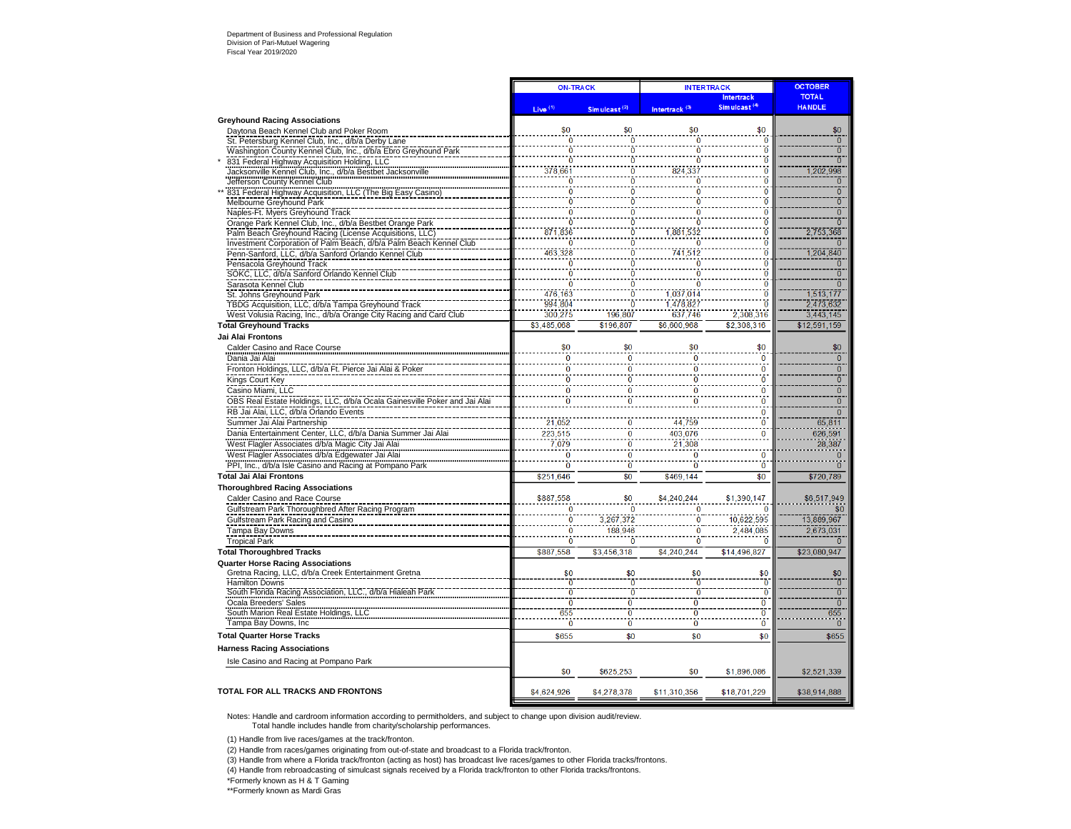|                                                                                                                         | <b>ON-TRACK</b>     |                                  | <b>INTERTRACK</b>                     |                                  | <b>OCTOBER</b>                   |
|-------------------------------------------------------------------------------------------------------------------------|---------------------|----------------------------------|---------------------------------------|----------------------------------|----------------------------------|
|                                                                                                                         |                     |                                  |                                       | <b>Intertrack</b>                | <b>TOTAL</b>                     |
|                                                                                                                         | Live <sup>(1)</sup> | Simulcast <sup>(2)</sup>         | Intertrack <sup>(3)</sup>             | Simulcast <sup>(4)</sup>         | <b>HANDLE</b>                    |
| <b>Greyhound Racing Associations</b>                                                                                    |                     |                                  |                                       |                                  |                                  |
| Daytona Beach Kennel Club and Poker Room                                                                                | \$0                 | \$0                              | \$0                                   | \$0                              | \$0                              |
| St. Petersburg Kennel Club, Inc., d/b/a Derby Lane                                                                      | Ō                   | $\Omega$<br>$\overline{0}$       | $\overline{0}$<br>$\ddot{\mathbf{0}}$ | $\mathbf{0}$<br>$\overline{0}$   | $\overline{0}$<br>$\overline{0}$ |
| Washington County Kennel Club, Inc., d/b/a Ebro Greyhound Park                                                          | Ō                   | $\overline{0}$                   | $\overline{0}$                        | $\ddot{\mathbf{0}}$              | ō                                |
| 831 Federal Highway Acquisition Holding, LLC<br>Jacksonville Kennel Club, Inc., d/b/a Bestbet Jacksonville              | 378,661             | Ō                                | 824,337                               | $\ddot{\mathbf{0}}$              | 1,202,998                        |
| Jefferson County Kennel Club                                                                                            | $\bf{0}$            | $\ddot{\mathbf{0}}$              | O                                     | $\overline{0}$                   | $\overline{0}$                   |
| 831 Federal Highway Acquisition, LLC (The Big Easy Casino)                                                              | ō                   | $\overline{0}$                   |                                       | $\overline{0}$                   | $\overline{0}$                   |
| Melbourne Greyhound Park                                                                                                |                     | $\overline{0}$                   |                                       | $\ddot{\mathbf{0}}$              | $\overline{0}$                   |
| Naples-Ft. Myers Greyhound Track                                                                                        | Ō                   | $\overline{0}$                   | n                                     | $\overline{\mathbf{0}}$          | $\overline{0}$                   |
| Orange Park Kennel Club, Inc., d/b/a Bestbet Orange Park                                                                | Ō                   | Ō                                | 'n                                    | $\bf{0}$                         | $\overline{0}$                   |
| Palm Beach Greyhound Racing (License Acquisitions, LLC)                                                                 | 871,836             | $\overline{0}$                   | 1.881.532                             | $\overline{0}$                   | 2,753,368                        |
| Investment Corporation of Palm Beach, d/b/a Palm Beach Kennel Club                                                      | $\ddot{\mathbf{0}}$ | $\ddot{\mathbf{0}}$              | ò                                     | $\overline{0}$                   | $\overline{0}$                   |
| Penn-Sanford, LLC, d/b/a Sanford Orlando Kennel Club                                                                    | 463,328             | $\overline{0}$                   | 741,512                               | $\overline{0}$                   | .204, 840                        |
| Pensacola Greyhound Track                                                                                               | $\overline{0}$      | Ō                                | O                                     | $\overline{0}$                   | $\overline{0}$                   |
| SOKC, LLC, d/b/a Sanford Orlando Kennel Club                                                                            |                     | O                                |                                       | $\overline{0}$                   | $\overline{0}$                   |
| Sarasota Kennel Club                                                                                                    | ñ                   | $\overline{0}$<br>$\overline{0}$ |                                       | $\overline{0}$<br>$\overline{0}$ | $\overline{0}$                   |
| St. Johns Greyhound Park                                                                                                | 476.163<br>994.804  | $\overline{0}$                   | 1.037.014<br>1,478,827                | $\overline{0}$                   | 513.177<br>2,473,632             |
| TBDG Acquisition, LLC, d/b/a Tampa Greyhound Track<br>West Volusia Racing, Inc., d/b/a Orange City Racing and Card Club | 300,275             | 196,807                          | 637,746                               | 2,308,316                        | 3,443,145                        |
| <b>Total Grevhound Tracks</b>                                                                                           | \$3,485,068         | \$196.807                        | \$6,600,968                           | \$2,308,316                      | \$12,591,159                     |
| Jai Alai Frontons                                                                                                       |                     |                                  |                                       |                                  |                                  |
| Calder Casino and Race Course                                                                                           | \$0                 | \$0                              | \$0                                   | \$0                              | \$0                              |
| Dania Jai Alai                                                                                                          | $\Omega$            | $\bf{0}$                         | $\bf{0}$                              | $\mathbf 0$                      | $\overline{0}$                   |
| Fronton Holdings, LLC, d/b/a Ft. Pierce Jai Alai & Poker                                                                | $\Omega$            | $\overline{0}$                   | $\Omega$                              | $\overline{0}$                   | $\overline{0}$                   |
| Kings Court Key                                                                                                         | n                   | n                                | $\Omega$                              | Ō                                | $\overline{0}$                   |
| Casino Miami, LLC                                                                                                       | $\bf{0}$            |                                  | $\bf{0}$                              | $\bf{0}$                         | $\overline{0}$                   |
| OBS Real Estate Holdings, LLC, d/b/a Ocala Gainesville Poker and Jai Alai                                               | $\mathbf{0}$        | O                                | $\overline{0}$                        | $\bf{0}$                         | $\overline{0}$                   |
| RB Jai Alai, LLC, d/b/a Orlando Events                                                                                  |                     |                                  |                                       | $\bf{0}$                         | $\overline{0}$                   |
| Summer Jai Alai Partnership                                                                                             | 21,052              |                                  | 44,759                                | $\overline{0}$                   | 65,811                           |
| Dania Entertainment Center, LLC, d/b/a Dania Summer Jai Alai                                                            | 223,515             | $\overline{0}$                   | 403,076                               | $\overline{\mathbf{0}}$          | 626,591                          |
| West Flagler Associates d/b/a Magic City Jai Alai                                                                       | 7,079               | $\overline{0}$                   | 21,308                                |                                  | 28,387                           |
| West Flagler Associates d/b/a Edgewater Jai Alai                                                                        | n                   | $\bf{0}$                         | $\bf{0}$                              | $\bf{0}$                         | $\bf{0}$                         |
| PPI, Inc., d/b/a Isle Casino and Racing at Pompano Park                                                                 | $\bf{0}$            | $\overline{0}$                   | 0                                     | $\bf{0}$                         | $\overline{0}$                   |
| <b>Total Jai Alai Frontons</b>                                                                                          | \$251.646           | \$0                              | \$469.144                             | \$0                              | \$720,789                        |
| <b>Thoroughbred Racing Associations</b>                                                                                 |                     |                                  |                                       |                                  |                                  |
| Calder Casino and Race Course                                                                                           | \$887,558           | \$0                              | \$4,240,244                           | \$1,390,147                      | \$6,517,949                      |
| Gulfstream Park Thoroughbred After Racing Program                                                                       | $\Omega$            | $\Omega$                         | $\Omega$                              | $\Omega$                         | \$0                              |
| Gulfstream Park Racing and Casino                                                                                       | Ō                   | 3,267,372                        | Ō                                     | 10,622,595                       | 13,889,967                       |
| Tampa Bay Downs                                                                                                         | $\bf{0}$            | 188,946                          | $\bf{0}$                              | 2.484.085                        | 2.673.031                        |
| <b>Tropical Park</b>                                                                                                    | Ō                   | $\overline{0}$                   | Ō                                     | $\overline{0}$                   | $\bf{0}$                         |
| <b>Total Thoroughbred Tracks</b>                                                                                        | \$887.558           | \$3.456.318                      | \$4,240,244                           | \$14,496.827                     | \$23,080,947                     |
| <b>Quarter Horse Racing Associations</b>                                                                                |                     |                                  |                                       |                                  |                                  |
| Gretna Racing, LLC, d/b/a Creek Entertainment Gretna                                                                    | \$0                 | \$0                              | \$0                                   | \$0                              | \$0                              |
| <b>Hamilton Downs</b>                                                                                                   | Ō<br>$\overline{0}$ | ō<br>$\overline{0}$              | 'n                                    | $\overline{0}$<br>$\overline{0}$ | Ō<br>$\overline{0}$              |
| South Florida Racing Association, LLC., d/b/a Hialeah Park                                                              | ō                   | ō                                | $\overline{0}$                        | $\overline{\mathfrak{o}}$        | $\overline{0}$                   |
| Ocala Breeders' Sales<br>South Marion Real Estate Holdings, LLC                                                         | 655                 | ō                                | ō                                     | $\overline{0}$                   | 655                              |
| Tampa Bay Downs, Inc.                                                                                                   | $\ddot{\mathbf{0}}$ | $\overline{0}$                   | $\overline{0}$                        | $\ddot{\mathbf{0}}$              | $\overline{0}$                   |
| <b>Total Quarter Horse Tracks</b>                                                                                       | \$655               | \$0                              | \$0                                   | \$0                              | \$655                            |
| <b>Harness Racing Associations</b>                                                                                      |                     |                                  |                                       |                                  |                                  |
| Isle Casino and Racing at Pompano Park                                                                                  |                     |                                  |                                       |                                  |                                  |
|                                                                                                                         | \$0                 | \$625,253                        | \$0                                   | \$1,896,086                      | \$2,521,339                      |
| <b>TOTAL FOR ALL TRACKS AND FRONTONS</b>                                                                                | \$4,624,926         | \$4,278,378                      | \$11,310,356                          | \$18,701,229                     | \$38,914,888                     |

Notes: Handle and cardroom information according to permitholders, and subject to change upon division audit/review.

Total handle includes handle from charity/scholarship performances.

(1) Handle from live races/games at the track/fronton.

(2) Handle from races/games originating from out-of-state and broadcast to a Florida track/fronton.

(3) Handle from where a Florida track/fronton (acting as host) has broadcast live races/games to other Florida tracks/frontons.

(4) Handle from rebroadcasting of simulcast signals received by a Florida track/fronton to other Florida tracks/frontons.

\*Formerly known as H & T Gaming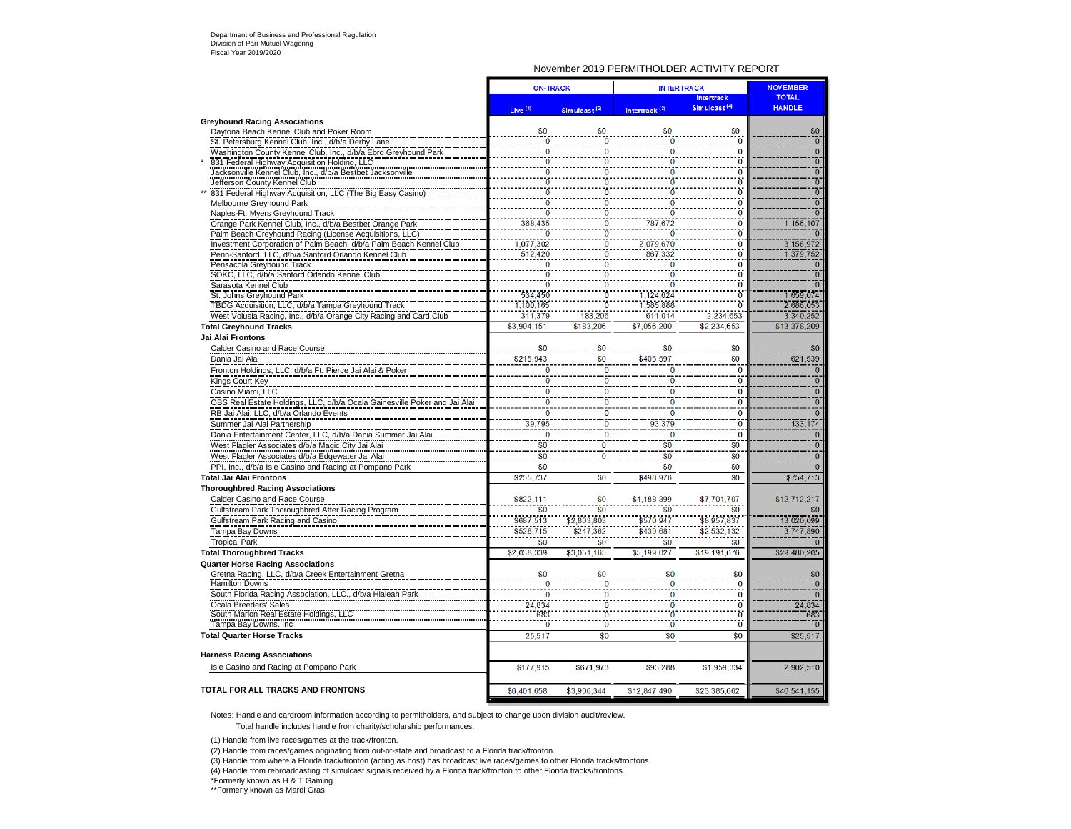#### November 2019 PERMITHOLDER ACTIVITY REPORT

|                                                                                                            |                          | <b>ON-TRACK</b>            | <b>INTERTRACK</b>         |                                  | <b>NOVEMBER</b>                  |  |
|------------------------------------------------------------------------------------------------------------|--------------------------|----------------------------|---------------------------|----------------------------------|----------------------------------|--|
|                                                                                                            |                          |                            |                           | <b>Intertrack</b>                | <b>TOTAL</b>                     |  |
|                                                                                                            | Live <sup>(1)</sup>      | Simulcast <sup>(2)</sup>   | Intertrack <sup>(3)</sup> | Simulcast <sup>(4)</sup>         | <b>HANDLE</b>                    |  |
| <b>Greyhound Racing Associations</b>                                                                       |                          |                            |                           |                                  |                                  |  |
| Davtona Beach Kennel Club and Poker Room                                                                   |                          | \$0                        | \$0                       | \$0<br>$\ddot{\mathbf{0}}$       | \$0                              |  |
| St. Petersburg Kennel Club, Inc., d/b/a Derby Lane                                                         | $\Omega$                 | Ö<br>Ō                     | ö<br>ö                    | $\ddot{\text{o}}$                | $\overline{0}$<br>$\overline{0}$ |  |
| Washington County Kennel Club, Inc., d/b/a Ebro Greyhound Park                                             |                          |                            |                           | ò                                | $\overline{0}$                   |  |
| 831 Federal Highway Acquisition Holding, LLC<br>Jacksonville Kennel Club, Inc., d/b/a Bestbet Jacksonville | n                        | n                          | $\Omega$                  | $\ddot{\mathbf{0}}$              | $\overline{0}$                   |  |
| Jefferson County Kennel Club                                                                               |                          |                            |                           | ò                                | $\overline{0}$                   |  |
| 831 Federal Highway Acquisition, LLC (The Big Easy Casino)                                                 | $\overline{0}$           | Ō                          | ō                         | $\ddot{0}$                       | $\overline{0}$                   |  |
| Melbourne Greyhound Park                                                                                   | $\ddot{0}$               | ö                          | $\overline{0}$            | $\ddot{\mathbf{0}}$              | $\overline{0}$                   |  |
| Naples-Ft. Myers Greyhound Track                                                                           | $\overline{0}$           | 'n                         | $\ddot{\mathbf{0}}$       | $\ddot{\mathbf{0}}$              | $\overline{0}$                   |  |
| Orange Park Kennel Club, Inc., d/b/a Bestbet Orange Park                                                   | 368,435                  | ñ                          | 787,672                   | $\ddot{\mathbf{0}}$              | 1,156,107                        |  |
| Palm Beach Greyhound Racing (License Acquisitions, LLC)                                                    | ō                        | ō                          | Ō                         | $\ddot{\mathbf{0}}$              |                                  |  |
| Investment Corporation of Palm Beach, d/b/a Palm Beach Kennel Club                                         | 1,077,302                | $\overline{0}$             | 2.079.670                 | $\ddot{\mathbf{0}}$              | 3.156.972                        |  |
| Penn-Sanford, LLC, d/b/a Sanford Orlando Kennel Club                                                       | 512,420                  | Ö                          | 867,332                   | $\ddot{\mathbf{0}}$              | 1,379,752                        |  |
| Pensacola Greyhound Track                                                                                  | ō                        | ö                          | ö                         | $\overline{0}$                   | $\overline{0}$                   |  |
| SOKC, LLC, d/b/a Sanford Orlando Kennel Club                                                               | 'n                       | ö                          | ñ                         | $\ddot{\mathbf{0}}$              | ក                                |  |
| Sarasota Kennel Club                                                                                       | ō                        | $\ddot{\mathbf{0}}$        | $\ddot{\mathbf{0}}$       | $\ddot{\mathbf{0}}$              | $\overline{0}$                   |  |
| St. Johns Greyhound Park                                                                                   | 534,450                  | n                          | 1,124,624                 | Ō                                | 1,659,074                        |  |
| TBDG Acquisition, LLC, d/b/a Tampa Greyhound Track                                                         | 1,100,165                | Ö                          | 1,585,888                 | $\ddot{\mathbf{0}}$              | 2,686,053                        |  |
| West Volusia Racing, Inc., d/b/a Orange City Racing and Card Club                                          | 311,379                  | 183,206                    | 611.014                   | 2,234,653                        | 3,340,252                        |  |
| <b>Total Greyhound Tracks</b>                                                                              | \$3,904.151              | \$183.206                  | \$7.056.200               | \$2,234,653                      | \$13,378,209                     |  |
| Jai Alai Frontons                                                                                          |                          |                            |                           |                                  |                                  |  |
| Calder Casino and Race Course                                                                              | \$0                      | \$0                        | \$0                       | \$0                              | \$0                              |  |
| Dania Jai Alai                                                                                             | \$215,943                | \$0                        | \$405,597                 | \$0                              | 621,539                          |  |
| Fronton Holdings, LLC, d/b/a Ft. Pierce Jai Alai & Poker                                                   | $\Omega$                 | $\mathbf{0}$               | $\bf{0}$                  | $\mathbf{0}$                     |                                  |  |
| Kings Court Key                                                                                            | $\overline{0}$           | $\overline{0}$             | $\overline{0}$            | $\overline{0}$                   | $\overline{0}$                   |  |
| Casino Miami, LLC                                                                                          | 0                        | $\bf{0}$                   | $\bf{0}$                  | $\overline{0}$                   | $\overline{\mathbf{0}}$          |  |
| OBS Real Estate Holdings, LLC, d/b/a Ocala Gainesville Poker and Jai Alai                                  | $\bf{0}$                 | $\overline{\mathbf{0}}$    | Ō                         | $\overline{0}$<br>$\overline{0}$ | $\overline{0}$<br>$\overline{0}$ |  |
| RB Jai Alai, LLC, d/b/a Orlando Events                                                                     | $\bf{0}$                 | $\bf{0}$                   | $\bf{0}$                  |                                  |                                  |  |
| Summer Jai Alai Partnership                                                                                | 39,795<br>$\overline{0}$ | $\bf{0}$<br>$\overline{0}$ | 93,379<br>$\overline{0}$  | $\bf{0}$<br>$\overline{0}$       | 133,174<br>$\Omega$              |  |
| Dania Entertainment Center, LLC, d/b/a Dania Summer Jai Alai                                               | \$0                      | $\overline{0}$             |                           |                                  | $\overline{0}$                   |  |
| West Flagler Associates d/b/a Magic City Jai Alai                                                          | \$0                      |                            | \$0                       | \$0<br>\$0                       |                                  |  |
| West Flagler Associates d/b/a Edgewater Jai Alai                                                           | $\overline{\$0}$         | $\bf{0}$                   | \$0<br>$\overline{\$0}$   | \$0                              | $\overline{0}$<br>$\overline{0}$ |  |
| PPI, Inc., d/b/a Isle Casino and Racing at Pompano Park                                                    |                          | \$0                        | \$498,976                 | \$0                              |                                  |  |
| <b>Total Jai Alai Frontons</b>                                                                             | \$255,737                |                            |                           |                                  | \$754,713                        |  |
| <b>Thoroughbred Racing Associations</b>                                                                    | \$822.111                | \$0                        | \$4,188,399               | \$7.701.707                      | \$12,712,217                     |  |
| Calder Casino and Race Course                                                                              | \$0                      | \$0                        | \$0                       | \$0                              | \$0                              |  |
| Gulfstream Park Thoroughbred After Racing Program<br>Gulfstream Park Racing and Casino                     | \$687,513                | \$2,803,803                | \$570,947                 | \$8,957,837                      | 13,020,099                       |  |
| Tampa Bay Downs                                                                                            | \$528,715                | \$247,362                  | \$439,681                 | \$2,532,132                      | 3,747,890                        |  |
| <b>Tropical Park</b>                                                                                       | \$0                      | \$0                        | \$0                       | \$0                              |                                  |  |
| <b>Total Thoroughbred Tracks</b>                                                                           | \$2,038,339              | \$3.051.165                | \$5,199,027               | \$19,191,676                     | \$29,480,205                     |  |
|                                                                                                            |                          |                            |                           |                                  |                                  |  |
| <b>Quarter Horse Racing Associations</b><br>Gretna Racing, LLC, d/b/a Creek Entertainment Gretna           | \$0                      | \$0                        | \$0                       | \$0                              | \$0                              |  |
| <b>Hamilton Downs</b>                                                                                      |                          |                            |                           | Ò                                | $\overline{0}$                   |  |
| South Florida Racing Association, LLC., d/b/a Hialeah Park                                                 | n                        |                            | $\bf{0}$                  | $\ddot{\mathbf{0}}$              | $\Omega$                         |  |
|                                                                                                            | 24,834                   | 0                          | $\bf{0}$                  | $\bf{0}$                         | 24,834                           |  |
| Ocala Breeders' Sales<br>South Marion Real Estate Holdings, LLC                                            | 683                      | $\ddot{\mathbf{0}}$        | $\ddot{\mathbf{0}}$       | $\ddot{\mathbf{0}}$              | 683                              |  |
| Tampa Bay Downs, Inc.                                                                                      | $\overline{0}$           | $\ddot{\mathbf{0}}$        | $\ddot{\mathbf{0}}$       | $\overline{0}$                   |                                  |  |
| <b>Total Quarter Horse Tracks</b>                                                                          | 25,517                   | \$0                        | \$0                       | \$0                              | \$25.517                         |  |
|                                                                                                            |                          |                            |                           |                                  |                                  |  |
| <b>Harness Racing Associations</b>                                                                         |                          |                            |                           |                                  |                                  |  |
| Isle Casino and Racing at Pompano Park                                                                     | \$177,915                | \$671,973                  | \$93,288                  | \$1.959.334                      | 2.902.510                        |  |
|                                                                                                            |                          |                            |                           |                                  |                                  |  |
| TOTAL FOR ALL TRACKS AND FRONTONS                                                                          | \$6,401,658              | \$3,906.344                | \$12,847,490              | \$23.385.662                     | \$46,541,155                     |  |
|                                                                                                            |                          |                            |                           |                                  |                                  |  |

Notes: Handle and cardroom information according to permitholders, and subject to change upon division audit/review. Total handle includes handle from charity/scholarship performances.

(1) Handle from live races/games at the track/fronton.

(2) Handle from races/games originating from out-of-state and broadcast to a Florida track/fronton.

(3) Handle from where a Florida track/fronton (acting as host) has broadcast live races/games to other Florida tracks/frontons.

(4) Handle from rebroadcasting of simulcast signals received by a Florida track/fronton to other Florida tracks/frontons.

\*Formerly known as H & T Gaming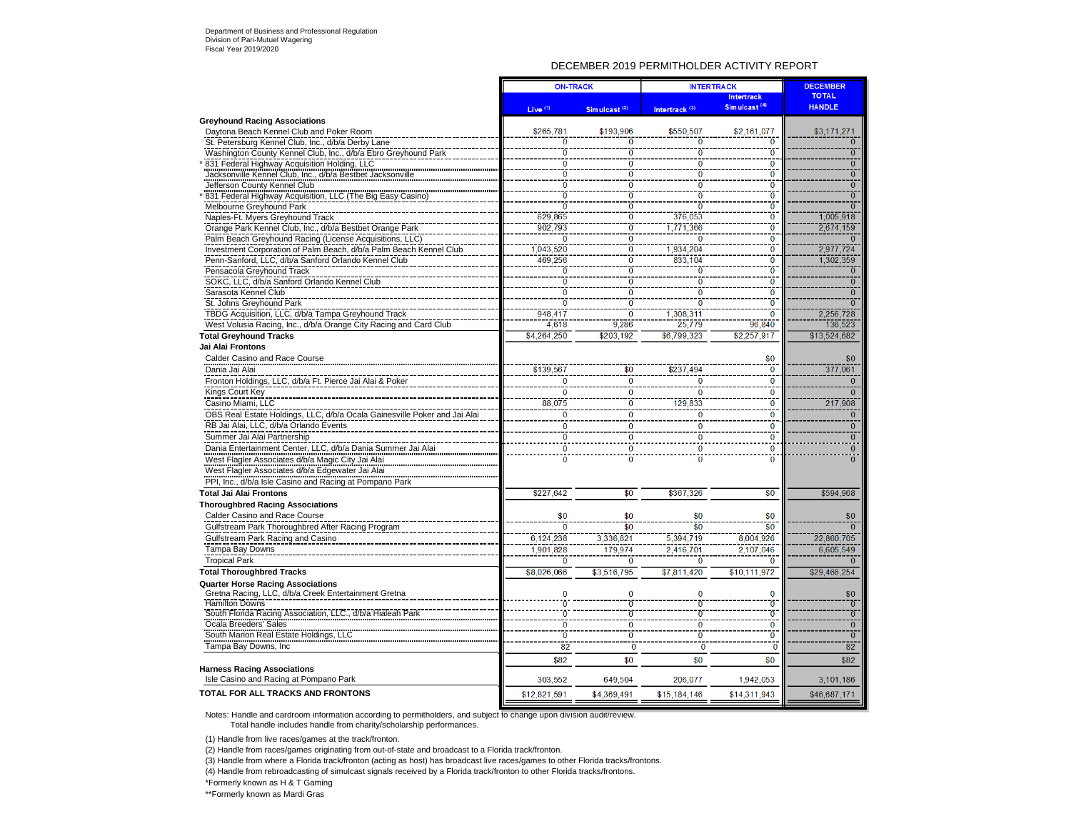#### DECEMBER 2019 PERMITHOLDER ACTIVITY REPORT

|                                                                                                                               | <b>ON-TRACK</b>                  |                                           | <b>INTERTRACK</b>           |                                           | <b>DECEMBER</b>             |
|-------------------------------------------------------------------------------------------------------------------------------|----------------------------------|-------------------------------------------|-----------------------------|-------------------------------------------|-----------------------------|
|                                                                                                                               |                                  |                                           |                             | Intertrack                                | <b>TOTAL</b>                |
|                                                                                                                               | Live <sup>(1)</sup>              | Simulcast <sup>(2)</sup>                  | Intertrack <sup>(3)</sup>   | Simulcast <sup>(4)</sup>                  | <b>HANDLE</b>               |
| <b>Greyhound Racing Associations</b>                                                                                          | \$265,781                        | \$193.906                                 | \$550.507                   |                                           | \$3,171,271                 |
| Davtona Beach Kennel Club and Poker Room                                                                                      | n                                | ō                                         | O                           | \$2,161,077<br>$\overline{0}$             | ō                           |
| St. Petersburg Kennel Club, Inc., d/b/a Derby Lane                                                                            | $\overline{0}$                   | ö                                         | Ō                           | $\overline{0}$                            | ō                           |
| Washington County Kennel Club, Inc., d/b/a Ebro Greyhound Park                                                                | $\overline{0}$                   |                                           |                             |                                           | $\overline{0}$              |
| 831 Federal Highway Acquisition Holding, LLC<br>Jacksonville Kennel Club, Inc., d/b/a Bestbet Jacksonville                    | $\overline{0}$                   | ō<br>$\overline{0}$                       | 0<br>ō                      | $\bf{0}$<br>$\overline{0}$                | $\overline{0}$              |
|                                                                                                                               | $\overline{0}$                   | ö                                         |                             | $\overline{0}$                            | $\overline{0}$              |
| Jefferson County Kennel Club                                                                                                  | $\overline{0}$                   | $\overline{0}$                            | $\overline{0}$<br>$\bar{0}$ | $\overline{0}$                            | $\overline{0}$              |
| 831 Federal Highway Acquisition, LLC (The Big Easy Casino)                                                                    | $\overline{0}$                   | ö                                         |                             | $\overline{0}$                            | $\overline{0}$              |
| Melbourne Greyhound Park                                                                                                      |                                  | $\overline{0}$                            | $\overline{0}$              | $\overline{0}$                            |                             |
| Naples-Ft. Myers Greyhound Track                                                                                              | 629.865                          | $\overline{0}$                            | 376.053                     | $\overline{0}$                            | 1,005,918<br>2,674,159      |
| Orange Park Kennel Club, Inc., d/b/a Bestbet Orange Park                                                                      | 902.793                          |                                           | 1.771.366                   |                                           |                             |
| Palm Beach Greyhound Racing (License Acquisitions, LLC)                                                                       | $\overline{0}$                   | $\overline{\mathbf{0}}$<br>$\overline{0}$ | ō                           | $\overline{\mathbf{0}}$<br>$\overline{0}$ | $\overline{0}$              |
| Investment Corporation of Palm Beach, d/b/a Palm Beach Kennel Club                                                            | 1,043,520                        |                                           | 1.934.204                   |                                           | 2.977.724                   |
| Penn-Sanford, LLC, d/b/a Sanford Orlando Kennel Club                                                                          | 469,256                          | 0<br>$\overline{0}$                       | 833,104                     | $\bf{0}$<br>$\overline{0}$                | 1,302,359<br>$\overline{0}$ |
| Pensacola Greyhound Track                                                                                                     | $\overline{0}$<br>$\overline{0}$ | $\overline{0}$                            | ō                           | $\overline{0}$                            | $\overline{0}$              |
| SOKC, LLC, d/b/a Sanford Orlando Kennel Club                                                                                  | $\overline{0}$                   |                                           | $\bar{0}$                   |                                           |                             |
| Sarasota Kennel Club                                                                                                          | $\overline{0}$                   | $\overline{0}$                            | $\bf{0}$                    | $\overline{0}$                            | $\overline{0}$              |
| St. Johns Greyhound Park                                                                                                      |                                  | $\overline{0}$                            | ō                           | $\overline{0}$                            | <u>57</u>                   |
| TBDG Acquisition, LLC, d/b/a Tampa Greyhound Track                                                                            | 948,417                          | $\overline{0}$                            | 1,308,311                   | $\overline{\mathbf{0}}$                   | 2,256,728                   |
| West Volusia Racing, Inc., d/b/a Orange City Racing and Card Club                                                             | 4,618                            | 9,286                                     | 25,779                      | 96,840                                    | 136,523                     |
| <b>Total Greyhound Tracks</b>                                                                                                 | \$4,264,250                      | \$203,192                                 | \$6,799,323                 | \$2,257,917                               | \$13,524,682                |
| Jai Alai Frontons                                                                                                             |                                  |                                           |                             |                                           |                             |
| Calder Casino and Race Course                                                                                                 |                                  |                                           |                             | \$0                                       | \$0                         |
| Dania Jai Alai                                                                                                                | \$139,567                        | \$0                                       | \$237.494                   | $\overline{0}$                            | 377,061                     |
| Fronton Holdings, LLC, d/b/a Ft. Pierce Jai Alai & Poker                                                                      | 0                                | $\mathbf 0$                               | $\Omega$                    | $\bf{0}$                                  | $\Omega$                    |
| Kings Court Key                                                                                                               | $\overline{0}$                   | ō                                         | $\bf{0}$                    | $\bf{0}$                                  | $\mathbf{0}$                |
| Casino Miami, LLC                                                                                                             | 88,075                           | $\overline{\mathbf{0}}$                   | 129,833                     | $\overline{0}$                            | 217,908                     |
| OBS Real Estate Holdings, LLC, d/b/a Ocala Gainesville Poker and Jai Alai                                                     | $\overline{0}$                   | $\overline{0}$                            | $\overline{0}$              | $\overline{0}$                            | $\overline{0}$              |
| RB Jai Alai, LLC, d/b/a Orlando Events                                                                                        | $\bf{0}$                         | 0                                         | 0                           | $\bf{0}$                                  | $\mathbf{0}$                |
| Summer Jai Alai Partnership                                                                                                   | $\overline{0}$                   | $\overline{0}$                            | $\overline{0}$              | $\overline{0}$                            | $\overline{0}$              |
| Dania Entertainment Center, LLC, d/b/a Dania Summer Jai Alai                                                                  | $\bf{0}$                         | $\mathbf{0}$                              | $\bf{0}$                    | $\bf{0}$                                  | $\overline{0}$              |
| West Flagler Associates d/b/a Magic City Jai Alai                                                                             | $\ddot{\mathbf{0}}$              | ō                                         | ō                           | $\overline{0}$                            | $\overline{0}$              |
| West Flagler Associates d/b/a Edgewater Jai Alai                                                                              |                                  |                                           |                             |                                           |                             |
|                                                                                                                               |                                  |                                           |                             |                                           |                             |
| PPI, Inc., d/b/a Isle Casino and Racing at Pompano Park                                                                       |                                  |                                           |                             |                                           |                             |
| <b>Total Jai Alai Frontons</b>                                                                                                | \$227,642                        | \$0                                       | \$367,326                   | \$0                                       | \$594,968                   |
| <b>Thoroughbred Racing Associations</b>                                                                                       |                                  |                                           |                             |                                           |                             |
| Calder Casino and Race Course                                                                                                 | \$0                              | \$0                                       | \$0                         | \$0                                       | \$0                         |
| Gulfstream Park Thoroughbred After Racing Program                                                                             | ō                                | $\overline{\$0}$                          | $\overline{\$0}$            | \$0                                       | $\overline{0}$              |
| Gulfstream Park Racing and Casino                                                                                             | 6,124,238                        | 3,336,821                                 | 5,394,719                   | 8,004,926                                 | 22,860,705                  |
| Tampa Bay Downs                                                                                                               | 1,901.828                        | 179.974                                   | 2,416,701                   | 2.107.046                                 | 6,605,549                   |
| <b>Tropical Park</b>                                                                                                          | $\Omega$                         | $\Omega$                                  | $\Omega$                    | $\bf{0}$                                  | $\Omega$                    |
| <b>Total Thoroughbred Tracks</b>                                                                                              | \$8,026,066                      | \$3,516,795                               | \$7,811,420                 | \$10,111,972                              | \$29,466,254                |
| <b>Quarter Horse Racing Associations</b>                                                                                      |                                  |                                           |                             |                                           |                             |
| Gretna Racing, LLC, d/b/a Creek Entertainment Gretna                                                                          | O                                | 0                                         | $\bf{0}$                    | $\bf{0}$                                  | \$0                         |
| <b>Hamilton Downs</b>                                                                                                         |                                  |                                           |                             | $\overline{0}$                            | $\overline{0}$              |
| South Florida Racing Association, LLC., d/b/a Hialeah Park<br>Ocala Breeders Sales<br>South Marion Real Estate Holdings, LLC. |                                  | $\overline{0}$                            | $\overline{0}$              | $\overline{0}$                            | $\overline{0}$              |
|                                                                                                                               | ō                                | $\overline{\mathfrak{o}}$                 | ō                           | ō                                         | $\overline{0}$              |
|                                                                                                                               | $\overline{0}$                   | $\overline{0}$                            | $\overline{0}$              | $\overline{0}$                            | $\overline{0}$              |
| Tampa Bay Downs, Inc.                                                                                                         | $\overline{82}$                  | $\overline{0}$                            | ō                           | $\overline{0}$                            | $\overline{82}$             |
|                                                                                                                               | \$82                             | \$0                                       | \$0                         | \$0                                       | \$82                        |
| <b>Harness Racing Associations</b>                                                                                            |                                  |                                           |                             |                                           |                             |
| Isle Casino and Racing at Pompano Park                                                                                        | 303,552                          | 649,504                                   | 206,077                     | 1,942,053                                 | 3,101,186                   |
| TOTAL FOR ALL TRACKS AND FRONTONS                                                                                             | \$12,821,591                     | \$4.369.491                               | \$15.184.146                | \$14,311,943                              | \$46,687,171                |
|                                                                                                                               |                                  |                                           |                             |                                           |                             |

Notes: Handle and cardroom information according to permitholders, and subject to change upon division audit/review. Total handle includes handle from charity/scholarship performances.

(1) Handle from live races/games at the track/fronton.

(2) Handle from races/games originating from out-of-state and broadcast to a Florida track/fronton.

(3) Handle from where a Florida track/fronton (acting as host) has broadcast live races/games to other Florida tracks/frontons.

(4) Handle from rebroadcasting of simulcast signals received by a Florida track/fronton to other Florida tracks/frontons.

\*Formerly known as H & T Gaming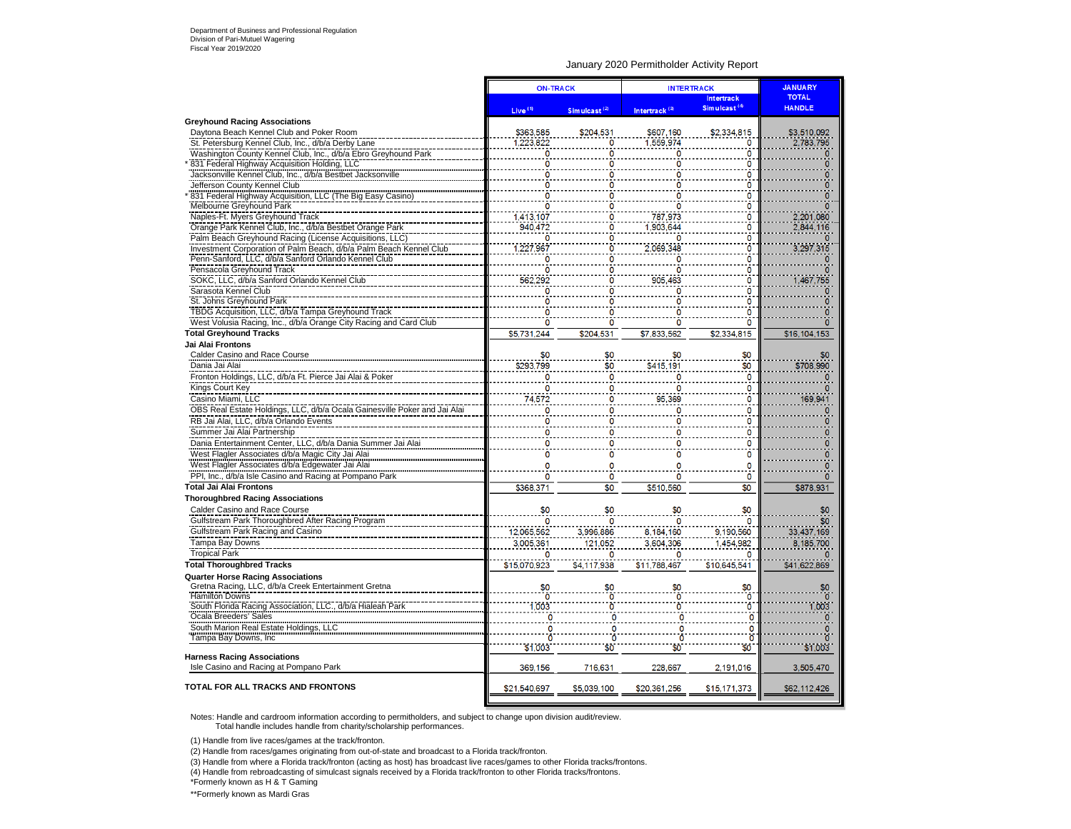#### January 2020 Permitholder Activity Report

|                                                                           |                     | <b>ON-TRACK</b>          | <b>INTERTRACK</b>         |                          | <b>JANUARY</b> |  |
|---------------------------------------------------------------------------|---------------------|--------------------------|---------------------------|--------------------------|----------------|--|
|                                                                           |                     |                          |                           | Intertrack               | <b>TOTAL</b>   |  |
|                                                                           | Live <sup>(1)</sup> | Simulcast <sup>(2)</sup> | Intertrack <sup>(3)</sup> | Simulcast <sup>(4)</sup> | <b>HANDLE</b>  |  |
| <b>Greyhound Racing Associations</b>                                      |                     |                          |                           |                          |                |  |
| Daytona Beach Kennel Club and Poker Room                                  | \$363,585           | \$204.531                | \$607,160                 | \$2,334,815              | \$3,510,092    |  |
| St. Petersburg Kennel Club, Inc., d/b/a Derby Lane                        | 1.223.822           |                          | 1.559.974                 | 0                        | 2.783.795      |  |
| Washington County Kennel Club, Inc., d/b/a Ebro Greyhound Park            |                     |                          |                           | O                        |                |  |
| 831 Federal Highway Acquisition Holding, LLC                              |                     |                          |                           | $\mathbf{0}$             |                |  |
| Jacksonville Kennel Club, Inc., d/b/a Bestbet Jacksonville                |                     |                          |                           | ٥                        |                |  |
| Jefferson County Kennel Club                                              |                     |                          |                           | 0                        |                |  |
| 831 Federal Highway Acquisition, LLC (The Big Easy Casino)                |                     |                          |                           | 0                        |                |  |
| Melbourne Greyhound Park                                                  |                     |                          |                           | 0                        |                |  |
| Naples-Ft. Myers Greyhound Track                                          | 1,413,107           | ٥                        | 787,973                   | 0                        | 2,201,080      |  |
| Orange Park Kennel Club, Inc., d/b/a Bestbet Orange Park                  | 940,472             |                          | 1,903,644                 | ö                        | 2,844,116      |  |
| Palm Beach Greyhound Racing (License Acquisitions, LLC)                   |                     |                          |                           | 0                        |                |  |
| Investment Corporation of Palm Beach, d/b/a Palm Beach Kennel Club        | 227,967             |                          | 2.069.348                 | 0                        | 3,297,315      |  |
| Penn-Sanford, LLC, d/b/a Sanford Orlando Kennel Club                      |                     |                          |                           | 0                        |                |  |
| Pensacola Greyhound Track                                                 |                     |                          |                           | $\mathbf{0}$             |                |  |
| SOKC, LLC, d/b/a Sanford Orlando Kennel Club                              | 562,292             |                          | 905.463                   | 0                        | 1,467,755      |  |
| Sarasota Kennel Club                                                      |                     |                          |                           | 0                        |                |  |
| St. Johns Greyhound Park                                                  |                     |                          |                           | $\mathbf{0}$             |                |  |
| TBDG Acquisition, LLC, d/b/a Tampa Greyhound Track                        |                     |                          |                           | $\mathbf{0}$             |                |  |
| West Volusia Racing, Inc., d/b/a Orange City Racing and Card Club         | O                   | n                        |                           | $\mathbf{0}$             |                |  |
| <b>Total Greyhound Tracks</b>                                             | \$5,731,244         | \$204,531                | \$7,833,562               | \$2,334,815              | \$16,104,153   |  |
| Jai Alai Frontons                                                         |                     |                          |                           |                          |                |  |
| Calder Casino and Race Course                                             |                     | \$0                      |                           |                          |                |  |
| Dania Jai Alai                                                            | \$293,799           | \$0                      | \$415,191                 | \$0<br>\$0               | \$708.990      |  |
| Fronton Holdings, LLC, d/b/a Ft. Pierce Jai Alai & Poker                  |                     | 0                        |                           | $\mathbf 0$              |                |  |
|                                                                           |                     |                          |                           |                          |                |  |
| Kings Court Key                                                           | ٥                   | ٥                        |                           | 0                        |                |  |
| Casino Miami, LLC                                                         | 74,572              |                          | 95,369                    | 0                        | 169,941        |  |
| OBS Real Estate Holdings, LLC, d/b/a Ocala Gainesville Poker and Jai Alai | Ō                   |                          |                           | 0                        |                |  |
| RB Jai Alai, LLC, d/b/a Orlando Events                                    | 0                   | 0                        |                           | o                        |                |  |
| Summer Jai Alai Partnership                                               |                     |                          |                           | 0                        |                |  |
| Dania Entertainment Center, LLC, d/b/a Dania Summer Jai Alai              |                     | O                        |                           | O                        |                |  |
| West Flagler Associates d/b/a Magic City Jai Alai                         | n                   | 0                        |                           | 0                        |                |  |
| West Flagler Associates d/b/a Edgewater Jai Alai                          |                     |                          |                           | $\Omega$                 |                |  |
| PPI, Inc., d/b/a Isle Casino and Racing at Pompano Park                   | $\Omega$            | Ō                        |                           | $\mathbf 0$              |                |  |
| <b>Total Jai Alai Frontons</b>                                            | \$368,371           | \$0                      | \$510,560                 | \$0                      | \$878,931      |  |
| <b>Thoroughbred Racing Associations</b>                                   |                     |                          |                           |                          |                |  |
| Calder Casino and Race Course                                             | \$0                 | \$0                      | \$0                       | \$0                      | \$0            |  |
| Gulfstream Park Thoroughbred After Racing Program                         |                     | ٥                        | n                         | O                        | SO.            |  |
| Gulfstream Park Racing and Casino                                         | 12,065,562          | 3,996,886                | 8,184,160                 | 9,190,560                | 33,437,169     |  |
| <b>Tampa Bay Downs</b>                                                    | 3,005,361           |                          | 3.604.306                 | 1.454.982                | 8,185,700      |  |
|                                                                           |                     | 121,052                  |                           |                          |                |  |
| <b>Tropical Park</b>                                                      |                     |                          |                           |                          |                |  |
| <b>Total Thoroughbred Tracks</b>                                          | \$15,070,923        | \$4,117,938              | \$11,788,467              | \$10,645,541             | \$41,622,869   |  |
| <b>Quarter Horse Racing Associations</b>                                  |                     |                          |                           |                          |                |  |
| Gretna Racing, LLC, d/b/a Creek Entertainment Gretna                      | \$0                 |                          |                           |                          |                |  |
| <b>Hamilton Downs</b>                                                     | Ò                   |                          |                           | Ö                        |                |  |
| South Florida Racing Association, LLC., d/b/a Hialeah Park                | ,003                |                          |                           | ö                        | 1.003          |  |
| Ocala Breeders' Sales                                                     | 0                   |                          |                           |                          |                |  |
| South Marion Real Estate Holdings, LLC                                    | 0                   |                          |                           | 0                        |                |  |
| Tampa Bay Downs, Inc.                                                     | Ő                   |                          |                           | 'n                       |                |  |
|                                                                           | \$1,003             | \$Ö                      | \$Ō                       | \$0                      | \$1,003        |  |
| <b>Harness Racing Associations</b>                                        |                     |                          |                           |                          |                |  |
| Isle Casino and Racing at Pompano Park                                    | 369,156             | 716,631                  | 228,667                   | 2,191,016                | 3,505,470      |  |
|                                                                           |                     |                          |                           |                          |                |  |
| TOTAL FOR ALL TRACKS AND FRONTONS                                         | \$21,540,697        | \$5,039,100              | \$20,361,256              | \$15,171,373             | \$62,112,426   |  |
|                                                                           |                     |                          |                           |                          |                |  |

Notes: Handle and cardroom information according to permitholders, and subject to change upon division audit/review. Total handle includes handle from charity/scholarship performances.

(1) Handle from live races/games at the track/fronton.

(2) Handle from races/games originating from out-of-state and broadcast to a Florida track/fronton.

(3) Handle from where a Florida track/fronton (acting as host) has broadcast live races/games to other Florida tracks/frontons.

(4) Handle from rebroadcasting of simulcast signals received by a Florida track/fronton to other Florida tracks/frontons.

\*Formerly known as H & T Gaming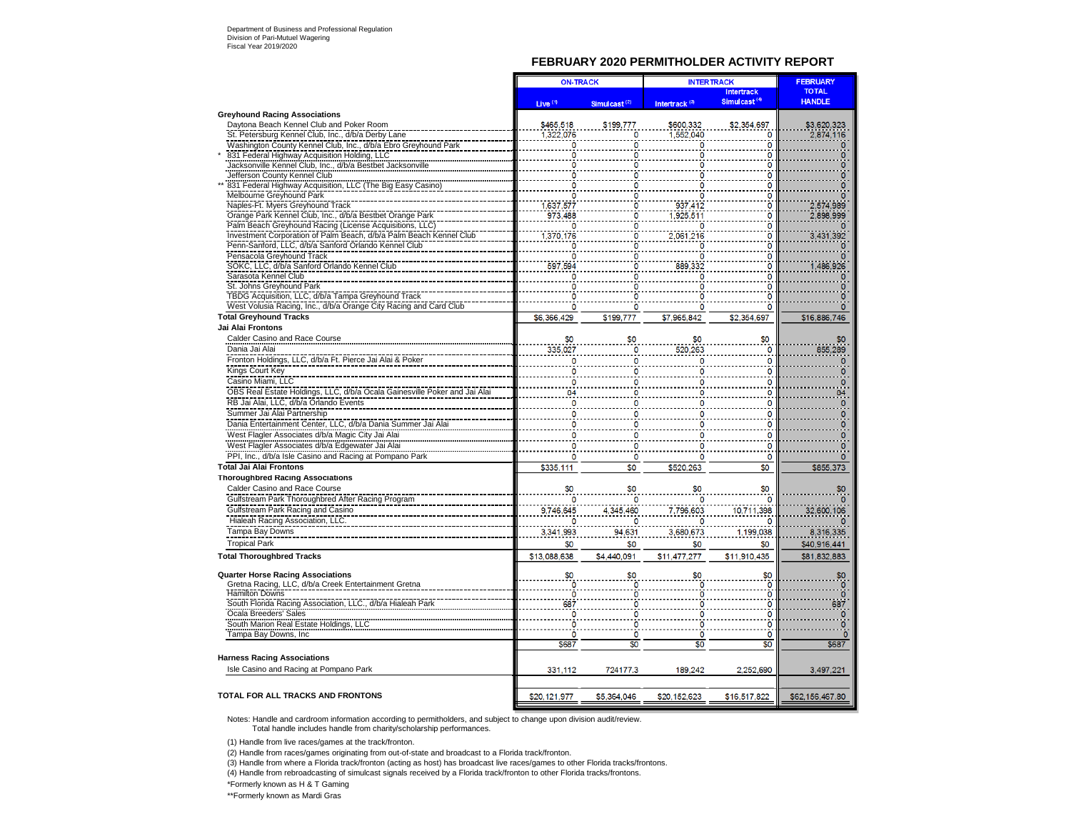#### **FEBRUARY 2020 PERMITHOLDER ACTIVITY REPORT**

| <b>TOTAL</b><br><b>Intertrack</b><br>Simulcast <sup>(4)</sup><br><b>HANDLE</b><br>Live <sup>(1)</sup><br>Intertrack <sup>(3)</sup><br>Simulcast <sup>(2)</sup><br><b>Greyhound Racing Associations</b><br>\$465,518<br>\$600,332<br>Daytona Beach Kennel Club and Poker Room<br>\$199,777<br>\$2,354,697<br>\$3,620,323<br>1.552.040<br>St. Petersburg Kennel Club, Inc., d/b/a Derby Lane<br>1.322.076<br>2.874,116<br>O<br>Washington County Kennel Club, Inc., d/b/a Ebro Greyhound Park<br>$\mathbf{0}$<br>831 Federal Highway Acquisition Holding, LLC<br>O<br>Jacksonville Kennel Club, Inc., d/b/a Bestbet Jacksonville<br>0<br>Jefferson County Kennel Club<br>n<br>831 Federal Highway Acquisition, LLC (The Big Easy Casino<br>O<br>Melbourne Greyhound Park<br>O<br>Naples-Ft. Myers Greyhound Track<br>937,412<br>O<br>1.637.577<br>2,574,989<br>Orange Park Kennel Club, Inc., d/b/a Bestbet Orange Park<br>973,488<br>1,925,511<br>Ō<br>2,898,999<br>Palm Beach Greyhound Racing (License Acquisitions, LLC)<br>o<br>Investment Corporation of Palm Beach, d/b/a Palm Beach Kennel Club<br>1.370.176<br>2.061.216<br>O<br>3,431,392<br>Penn-Sanford, LLC, d/b/a Sanford Orlando Kennel Club<br>Pensacola Greyhound Track<br>٥<br>SOKC, LLC, d/b/a Sanford Orlando Kennel Club<br>486,926<br>597,594<br>889.332<br>Ö<br>Sarasota Kennel Club<br>O<br>o<br>St. Johns Greyhound Park<br>0<br>TBDG Acquisition, LLC, d/b/a Tampa Greyhound Track<br>O<br>West Volusia Racing, Inc., d/b/a Orange City Racing and Card Club<br>O<br>n<br>0<br><b>Total Greyhound Tracks</b><br>\$6,366,429<br>\$199,777<br>\$7.965.842<br>\$2.354.697<br>\$16,886,746<br>Jai Alai Frontons<br>Calder Casino and Race Course<br>\$0<br>\$0<br>\$0<br>Dania Jai Alai<br>335,027<br>0<br>855,289<br>Fronton Holdings, LLC, d/b/a Ft. Pierce Jai Alai & Poker<br>0<br>Kings Court Key<br>O<br>٥<br>Casino Miami, LLC<br>0<br>$\mathbf 0$<br>OBS Real Estate Holdings, LLC, d/b/a Ocala Gainesville Poker and Jai Alai<br>0<br>84<br>RB Jai Alai, LLC, d/b/a Orlando Events<br>$\mathbf 0$<br>0<br>Summer Jai Alai Partnership<br>O<br>0<br>Dania Entertainment Center, LLC, d/b/a Dania Summer Jai Alai<br>0<br>0<br>West Flagler Associates d/b/a Magic City Jai Alai<br>$\mathbf 0$<br>0<br>West Flagler Associates d/b/a Edgewater Jai Alai<br>$\mathbf 0$<br>$\overline{0}$<br>PPI, Inc., d/b/a Isle Casino and Racing at Pompano Park<br>$\mathbf 0$<br>$\mathbf 0$<br>$\Omega$<br>$\Omega$<br>o<br><b>Total Jai Alai Frontons</b><br>\$0<br>\$335,111<br>\$0<br>\$520,263<br>\$855,373<br><b>Thoroughbred Racing Associations</b><br>\$0<br>Calder Casino and Race Course<br>\$0<br>\$0<br>\$0<br>\$0<br>Gulfstream Park Thoroughbred After Racing Program<br>O<br>٥<br>Gulfstream Park Racing and Casino<br>9,746,645<br>4.345.460<br>32,600,106<br>7,796,603<br>10,711,398<br>Hialeah Racing Association, LLC.<br>Tampa Bay Downs<br>3,341,993<br>3,680,673<br>1,199,038<br>8,316,335<br>94.631<br><b>Tropical Park</b><br>\$0<br>\$0<br>\$0<br>\$0<br>\$40,916,441<br><b>Total Thoroughbred Tracks</b><br>\$13,088,638<br>\$4,440,091<br>\$11,477,277<br>\$11,910,435<br>\$81,832,883<br><b>Quarter Horse Racing Associations</b><br>\$0<br>\$0<br>\$0<br>Gretna Racing, LLC, d/b/a Creek Entertainment Gretna<br>Ō<br><b>Hamilton Downs</b><br>$\overline{0}$<br>$\mathbf{0}$<br>O<br>South Florida Racing Association, LLC., d/b/a Hialeah Park<br>0<br>687<br>Ocala Breeders' Sales<br>ö<br>0<br>South Marion Real Estate Holdings, LLC<br>$\mathbf{0}$<br>O<br>Tampa Bay Downs, Inc.<br>Ō<br>Ö<br>$\overline{0}$<br>$\overline{0}$<br>$\mathbf{0}$<br>\$0<br>\$687<br>\$687<br>\$0<br>\$0<br><b>Harness Racing Associations</b><br>Isle Casino and Racing at Pompano Park<br>331,112<br>724177.3<br>189,242<br>2,252,690<br>3,497,221<br><b>TOTAL FOR ALL TRACKS AND FRONTONS</b><br>\$5,364,046<br>\$20,152,623<br>\$16,517,822<br>\$20,121,977<br>\$62,156,467.80 | <b>ON-TRACK</b> |  | <b>INTERTRACK</b> |  | <b>FEBRUARY</b> |
|-----------------------------------------------------------------------------------------------------------------------------------------------------------------------------------------------------------------------------------------------------------------------------------------------------------------------------------------------------------------------------------------------------------------------------------------------------------------------------------------------------------------------------------------------------------------------------------------------------------------------------------------------------------------------------------------------------------------------------------------------------------------------------------------------------------------------------------------------------------------------------------------------------------------------------------------------------------------------------------------------------------------------------------------------------------------------------------------------------------------------------------------------------------------------------------------------------------------------------------------------------------------------------------------------------------------------------------------------------------------------------------------------------------------------------------------------------------------------------------------------------------------------------------------------------------------------------------------------------------------------------------------------------------------------------------------------------------------------------------------------------------------------------------------------------------------------------------------------------------------------------------------------------------------------------------------------------------------------------------------------------------------------------------------------------------------------------------------------------------------------------------------------------------------------------------------------------------------------------------------------------------------------------------------------------------------------------------------------------------------------------------------------------------------------------------------------------------------------------------------------------------------------------------------------------------------------------------------------------------------------------------------------------------------------------------------------------------------------------------------------------------------------------------------------------------------------------------------------------------------------------------------------------------------------------------------------------------------------------------------------------------------------------------------------------------------------------------------------------------------------------------------------------------------------------------------------------------------------------------------------------------------------------------------------------------------------------------------------------------------------------------------------------------------------------------------------------------------------------------------------------------------------------------------------------------------------------------------------------------------------------------------------------------------------------------------------------------------------------------------------------------------------------------------------------------------------------------------------------------------------------------------------------------------------------------------------------------------------|-----------------|--|-------------------|--|-----------------|
|                                                                                                                                                                                                                                                                                                                                                                                                                                                                                                                                                                                                                                                                                                                                                                                                                                                                                                                                                                                                                                                                                                                                                                                                                                                                                                                                                                                                                                                                                                                                                                                                                                                                                                                                                                                                                                                                                                                                                                                                                                                                                                                                                                                                                                                                                                                                                                                                                                                                                                                                                                                                                                                                                                                                                                                                                                                                                                                                                                                                                                                                                                                                                                                                                                                                                                                                                                                                                                                                                                                                                                                                                                                                                                                                                                                                                                                                                                                                                                       |                 |  |                   |  |                 |
|                                                                                                                                                                                                                                                                                                                                                                                                                                                                                                                                                                                                                                                                                                                                                                                                                                                                                                                                                                                                                                                                                                                                                                                                                                                                                                                                                                                                                                                                                                                                                                                                                                                                                                                                                                                                                                                                                                                                                                                                                                                                                                                                                                                                                                                                                                                                                                                                                                                                                                                                                                                                                                                                                                                                                                                                                                                                                                                                                                                                                                                                                                                                                                                                                                                                                                                                                                                                                                                                                                                                                                                                                                                                                                                                                                                                                                                                                                                                                                       |                 |  |                   |  |                 |
|                                                                                                                                                                                                                                                                                                                                                                                                                                                                                                                                                                                                                                                                                                                                                                                                                                                                                                                                                                                                                                                                                                                                                                                                                                                                                                                                                                                                                                                                                                                                                                                                                                                                                                                                                                                                                                                                                                                                                                                                                                                                                                                                                                                                                                                                                                                                                                                                                                                                                                                                                                                                                                                                                                                                                                                                                                                                                                                                                                                                                                                                                                                                                                                                                                                                                                                                                                                                                                                                                                                                                                                                                                                                                                                                                                                                                                                                                                                                                                       |                 |  |                   |  |                 |
|                                                                                                                                                                                                                                                                                                                                                                                                                                                                                                                                                                                                                                                                                                                                                                                                                                                                                                                                                                                                                                                                                                                                                                                                                                                                                                                                                                                                                                                                                                                                                                                                                                                                                                                                                                                                                                                                                                                                                                                                                                                                                                                                                                                                                                                                                                                                                                                                                                                                                                                                                                                                                                                                                                                                                                                                                                                                                                                                                                                                                                                                                                                                                                                                                                                                                                                                                                                                                                                                                                                                                                                                                                                                                                                                                                                                                                                                                                                                                                       |                 |  |                   |  |                 |
|                                                                                                                                                                                                                                                                                                                                                                                                                                                                                                                                                                                                                                                                                                                                                                                                                                                                                                                                                                                                                                                                                                                                                                                                                                                                                                                                                                                                                                                                                                                                                                                                                                                                                                                                                                                                                                                                                                                                                                                                                                                                                                                                                                                                                                                                                                                                                                                                                                                                                                                                                                                                                                                                                                                                                                                                                                                                                                                                                                                                                                                                                                                                                                                                                                                                                                                                                                                                                                                                                                                                                                                                                                                                                                                                                                                                                                                                                                                                                                       |                 |  |                   |  |                 |
|                                                                                                                                                                                                                                                                                                                                                                                                                                                                                                                                                                                                                                                                                                                                                                                                                                                                                                                                                                                                                                                                                                                                                                                                                                                                                                                                                                                                                                                                                                                                                                                                                                                                                                                                                                                                                                                                                                                                                                                                                                                                                                                                                                                                                                                                                                                                                                                                                                                                                                                                                                                                                                                                                                                                                                                                                                                                                                                                                                                                                                                                                                                                                                                                                                                                                                                                                                                                                                                                                                                                                                                                                                                                                                                                                                                                                                                                                                                                                                       |                 |  |                   |  |                 |
|                                                                                                                                                                                                                                                                                                                                                                                                                                                                                                                                                                                                                                                                                                                                                                                                                                                                                                                                                                                                                                                                                                                                                                                                                                                                                                                                                                                                                                                                                                                                                                                                                                                                                                                                                                                                                                                                                                                                                                                                                                                                                                                                                                                                                                                                                                                                                                                                                                                                                                                                                                                                                                                                                                                                                                                                                                                                                                                                                                                                                                                                                                                                                                                                                                                                                                                                                                                                                                                                                                                                                                                                                                                                                                                                                                                                                                                                                                                                                                       |                 |  |                   |  |                 |
|                                                                                                                                                                                                                                                                                                                                                                                                                                                                                                                                                                                                                                                                                                                                                                                                                                                                                                                                                                                                                                                                                                                                                                                                                                                                                                                                                                                                                                                                                                                                                                                                                                                                                                                                                                                                                                                                                                                                                                                                                                                                                                                                                                                                                                                                                                                                                                                                                                                                                                                                                                                                                                                                                                                                                                                                                                                                                                                                                                                                                                                                                                                                                                                                                                                                                                                                                                                                                                                                                                                                                                                                                                                                                                                                                                                                                                                                                                                                                                       |                 |  |                   |  |                 |
|                                                                                                                                                                                                                                                                                                                                                                                                                                                                                                                                                                                                                                                                                                                                                                                                                                                                                                                                                                                                                                                                                                                                                                                                                                                                                                                                                                                                                                                                                                                                                                                                                                                                                                                                                                                                                                                                                                                                                                                                                                                                                                                                                                                                                                                                                                                                                                                                                                                                                                                                                                                                                                                                                                                                                                                                                                                                                                                                                                                                                                                                                                                                                                                                                                                                                                                                                                                                                                                                                                                                                                                                                                                                                                                                                                                                                                                                                                                                                                       |                 |  |                   |  |                 |
|                                                                                                                                                                                                                                                                                                                                                                                                                                                                                                                                                                                                                                                                                                                                                                                                                                                                                                                                                                                                                                                                                                                                                                                                                                                                                                                                                                                                                                                                                                                                                                                                                                                                                                                                                                                                                                                                                                                                                                                                                                                                                                                                                                                                                                                                                                                                                                                                                                                                                                                                                                                                                                                                                                                                                                                                                                                                                                                                                                                                                                                                                                                                                                                                                                                                                                                                                                                                                                                                                                                                                                                                                                                                                                                                                                                                                                                                                                                                                                       |                 |  |                   |  |                 |
|                                                                                                                                                                                                                                                                                                                                                                                                                                                                                                                                                                                                                                                                                                                                                                                                                                                                                                                                                                                                                                                                                                                                                                                                                                                                                                                                                                                                                                                                                                                                                                                                                                                                                                                                                                                                                                                                                                                                                                                                                                                                                                                                                                                                                                                                                                                                                                                                                                                                                                                                                                                                                                                                                                                                                                                                                                                                                                                                                                                                                                                                                                                                                                                                                                                                                                                                                                                                                                                                                                                                                                                                                                                                                                                                                                                                                                                                                                                                                                       |                 |  |                   |  |                 |
|                                                                                                                                                                                                                                                                                                                                                                                                                                                                                                                                                                                                                                                                                                                                                                                                                                                                                                                                                                                                                                                                                                                                                                                                                                                                                                                                                                                                                                                                                                                                                                                                                                                                                                                                                                                                                                                                                                                                                                                                                                                                                                                                                                                                                                                                                                                                                                                                                                                                                                                                                                                                                                                                                                                                                                                                                                                                                                                                                                                                                                                                                                                                                                                                                                                                                                                                                                                                                                                                                                                                                                                                                                                                                                                                                                                                                                                                                                                                                                       |                 |  |                   |  |                 |
|                                                                                                                                                                                                                                                                                                                                                                                                                                                                                                                                                                                                                                                                                                                                                                                                                                                                                                                                                                                                                                                                                                                                                                                                                                                                                                                                                                                                                                                                                                                                                                                                                                                                                                                                                                                                                                                                                                                                                                                                                                                                                                                                                                                                                                                                                                                                                                                                                                                                                                                                                                                                                                                                                                                                                                                                                                                                                                                                                                                                                                                                                                                                                                                                                                                                                                                                                                                                                                                                                                                                                                                                                                                                                                                                                                                                                                                                                                                                                                       |                 |  |                   |  |                 |
|                                                                                                                                                                                                                                                                                                                                                                                                                                                                                                                                                                                                                                                                                                                                                                                                                                                                                                                                                                                                                                                                                                                                                                                                                                                                                                                                                                                                                                                                                                                                                                                                                                                                                                                                                                                                                                                                                                                                                                                                                                                                                                                                                                                                                                                                                                                                                                                                                                                                                                                                                                                                                                                                                                                                                                                                                                                                                                                                                                                                                                                                                                                                                                                                                                                                                                                                                                                                                                                                                                                                                                                                                                                                                                                                                                                                                                                                                                                                                                       |                 |  |                   |  |                 |
|                                                                                                                                                                                                                                                                                                                                                                                                                                                                                                                                                                                                                                                                                                                                                                                                                                                                                                                                                                                                                                                                                                                                                                                                                                                                                                                                                                                                                                                                                                                                                                                                                                                                                                                                                                                                                                                                                                                                                                                                                                                                                                                                                                                                                                                                                                                                                                                                                                                                                                                                                                                                                                                                                                                                                                                                                                                                                                                                                                                                                                                                                                                                                                                                                                                                                                                                                                                                                                                                                                                                                                                                                                                                                                                                                                                                                                                                                                                                                                       |                 |  |                   |  |                 |
|                                                                                                                                                                                                                                                                                                                                                                                                                                                                                                                                                                                                                                                                                                                                                                                                                                                                                                                                                                                                                                                                                                                                                                                                                                                                                                                                                                                                                                                                                                                                                                                                                                                                                                                                                                                                                                                                                                                                                                                                                                                                                                                                                                                                                                                                                                                                                                                                                                                                                                                                                                                                                                                                                                                                                                                                                                                                                                                                                                                                                                                                                                                                                                                                                                                                                                                                                                                                                                                                                                                                                                                                                                                                                                                                                                                                                                                                                                                                                                       |                 |  |                   |  |                 |
|                                                                                                                                                                                                                                                                                                                                                                                                                                                                                                                                                                                                                                                                                                                                                                                                                                                                                                                                                                                                                                                                                                                                                                                                                                                                                                                                                                                                                                                                                                                                                                                                                                                                                                                                                                                                                                                                                                                                                                                                                                                                                                                                                                                                                                                                                                                                                                                                                                                                                                                                                                                                                                                                                                                                                                                                                                                                                                                                                                                                                                                                                                                                                                                                                                                                                                                                                                                                                                                                                                                                                                                                                                                                                                                                                                                                                                                                                                                                                                       |                 |  |                   |  |                 |
|                                                                                                                                                                                                                                                                                                                                                                                                                                                                                                                                                                                                                                                                                                                                                                                                                                                                                                                                                                                                                                                                                                                                                                                                                                                                                                                                                                                                                                                                                                                                                                                                                                                                                                                                                                                                                                                                                                                                                                                                                                                                                                                                                                                                                                                                                                                                                                                                                                                                                                                                                                                                                                                                                                                                                                                                                                                                                                                                                                                                                                                                                                                                                                                                                                                                                                                                                                                                                                                                                                                                                                                                                                                                                                                                                                                                                                                                                                                                                                       |                 |  |                   |  |                 |
|                                                                                                                                                                                                                                                                                                                                                                                                                                                                                                                                                                                                                                                                                                                                                                                                                                                                                                                                                                                                                                                                                                                                                                                                                                                                                                                                                                                                                                                                                                                                                                                                                                                                                                                                                                                                                                                                                                                                                                                                                                                                                                                                                                                                                                                                                                                                                                                                                                                                                                                                                                                                                                                                                                                                                                                                                                                                                                                                                                                                                                                                                                                                                                                                                                                                                                                                                                                                                                                                                                                                                                                                                                                                                                                                                                                                                                                                                                                                                                       |                 |  |                   |  |                 |
|                                                                                                                                                                                                                                                                                                                                                                                                                                                                                                                                                                                                                                                                                                                                                                                                                                                                                                                                                                                                                                                                                                                                                                                                                                                                                                                                                                                                                                                                                                                                                                                                                                                                                                                                                                                                                                                                                                                                                                                                                                                                                                                                                                                                                                                                                                                                                                                                                                                                                                                                                                                                                                                                                                                                                                                                                                                                                                                                                                                                                                                                                                                                                                                                                                                                                                                                                                                                                                                                                                                                                                                                                                                                                                                                                                                                                                                                                                                                                                       |                 |  |                   |  |                 |
|                                                                                                                                                                                                                                                                                                                                                                                                                                                                                                                                                                                                                                                                                                                                                                                                                                                                                                                                                                                                                                                                                                                                                                                                                                                                                                                                                                                                                                                                                                                                                                                                                                                                                                                                                                                                                                                                                                                                                                                                                                                                                                                                                                                                                                                                                                                                                                                                                                                                                                                                                                                                                                                                                                                                                                                                                                                                                                                                                                                                                                                                                                                                                                                                                                                                                                                                                                                                                                                                                                                                                                                                                                                                                                                                                                                                                                                                                                                                                                       |                 |  |                   |  |                 |
|                                                                                                                                                                                                                                                                                                                                                                                                                                                                                                                                                                                                                                                                                                                                                                                                                                                                                                                                                                                                                                                                                                                                                                                                                                                                                                                                                                                                                                                                                                                                                                                                                                                                                                                                                                                                                                                                                                                                                                                                                                                                                                                                                                                                                                                                                                                                                                                                                                                                                                                                                                                                                                                                                                                                                                                                                                                                                                                                                                                                                                                                                                                                                                                                                                                                                                                                                                                                                                                                                                                                                                                                                                                                                                                                                                                                                                                                                                                                                                       |                 |  |                   |  |                 |
|                                                                                                                                                                                                                                                                                                                                                                                                                                                                                                                                                                                                                                                                                                                                                                                                                                                                                                                                                                                                                                                                                                                                                                                                                                                                                                                                                                                                                                                                                                                                                                                                                                                                                                                                                                                                                                                                                                                                                                                                                                                                                                                                                                                                                                                                                                                                                                                                                                                                                                                                                                                                                                                                                                                                                                                                                                                                                                                                                                                                                                                                                                                                                                                                                                                                                                                                                                                                                                                                                                                                                                                                                                                                                                                                                                                                                                                                                                                                                                       |                 |  |                   |  |                 |
|                                                                                                                                                                                                                                                                                                                                                                                                                                                                                                                                                                                                                                                                                                                                                                                                                                                                                                                                                                                                                                                                                                                                                                                                                                                                                                                                                                                                                                                                                                                                                                                                                                                                                                                                                                                                                                                                                                                                                                                                                                                                                                                                                                                                                                                                                                                                                                                                                                                                                                                                                                                                                                                                                                                                                                                                                                                                                                                                                                                                                                                                                                                                                                                                                                                                                                                                                                                                                                                                                                                                                                                                                                                                                                                                                                                                                                                                                                                                                                       |                 |  |                   |  |                 |
|                                                                                                                                                                                                                                                                                                                                                                                                                                                                                                                                                                                                                                                                                                                                                                                                                                                                                                                                                                                                                                                                                                                                                                                                                                                                                                                                                                                                                                                                                                                                                                                                                                                                                                                                                                                                                                                                                                                                                                                                                                                                                                                                                                                                                                                                                                                                                                                                                                                                                                                                                                                                                                                                                                                                                                                                                                                                                                                                                                                                                                                                                                                                                                                                                                                                                                                                                                                                                                                                                                                                                                                                                                                                                                                                                                                                                                                                                                                                                                       |                 |  |                   |  |                 |
|                                                                                                                                                                                                                                                                                                                                                                                                                                                                                                                                                                                                                                                                                                                                                                                                                                                                                                                                                                                                                                                                                                                                                                                                                                                                                                                                                                                                                                                                                                                                                                                                                                                                                                                                                                                                                                                                                                                                                                                                                                                                                                                                                                                                                                                                                                                                                                                                                                                                                                                                                                                                                                                                                                                                                                                                                                                                                                                                                                                                                                                                                                                                                                                                                                                                                                                                                                                                                                                                                                                                                                                                                                                                                                                                                                                                                                                                                                                                                                       |                 |  |                   |  |                 |
|                                                                                                                                                                                                                                                                                                                                                                                                                                                                                                                                                                                                                                                                                                                                                                                                                                                                                                                                                                                                                                                                                                                                                                                                                                                                                                                                                                                                                                                                                                                                                                                                                                                                                                                                                                                                                                                                                                                                                                                                                                                                                                                                                                                                                                                                                                                                                                                                                                                                                                                                                                                                                                                                                                                                                                                                                                                                                                                                                                                                                                                                                                                                                                                                                                                                                                                                                                                                                                                                                                                                                                                                                                                                                                                                                                                                                                                                                                                                                                       |                 |  |                   |  |                 |
|                                                                                                                                                                                                                                                                                                                                                                                                                                                                                                                                                                                                                                                                                                                                                                                                                                                                                                                                                                                                                                                                                                                                                                                                                                                                                                                                                                                                                                                                                                                                                                                                                                                                                                                                                                                                                                                                                                                                                                                                                                                                                                                                                                                                                                                                                                                                                                                                                                                                                                                                                                                                                                                                                                                                                                                                                                                                                                                                                                                                                                                                                                                                                                                                                                                                                                                                                                                                                                                                                                                                                                                                                                                                                                                                                                                                                                                                                                                                                                       |                 |  |                   |  |                 |
|                                                                                                                                                                                                                                                                                                                                                                                                                                                                                                                                                                                                                                                                                                                                                                                                                                                                                                                                                                                                                                                                                                                                                                                                                                                                                                                                                                                                                                                                                                                                                                                                                                                                                                                                                                                                                                                                                                                                                                                                                                                                                                                                                                                                                                                                                                                                                                                                                                                                                                                                                                                                                                                                                                                                                                                                                                                                                                                                                                                                                                                                                                                                                                                                                                                                                                                                                                                                                                                                                                                                                                                                                                                                                                                                                                                                                                                                                                                                                                       |                 |  |                   |  |                 |
|                                                                                                                                                                                                                                                                                                                                                                                                                                                                                                                                                                                                                                                                                                                                                                                                                                                                                                                                                                                                                                                                                                                                                                                                                                                                                                                                                                                                                                                                                                                                                                                                                                                                                                                                                                                                                                                                                                                                                                                                                                                                                                                                                                                                                                                                                                                                                                                                                                                                                                                                                                                                                                                                                                                                                                                                                                                                                                                                                                                                                                                                                                                                                                                                                                                                                                                                                                                                                                                                                                                                                                                                                                                                                                                                                                                                                                                                                                                                                                       |                 |  |                   |  |                 |
|                                                                                                                                                                                                                                                                                                                                                                                                                                                                                                                                                                                                                                                                                                                                                                                                                                                                                                                                                                                                                                                                                                                                                                                                                                                                                                                                                                                                                                                                                                                                                                                                                                                                                                                                                                                                                                                                                                                                                                                                                                                                                                                                                                                                                                                                                                                                                                                                                                                                                                                                                                                                                                                                                                                                                                                                                                                                                                                                                                                                                                                                                                                                                                                                                                                                                                                                                                                                                                                                                                                                                                                                                                                                                                                                                                                                                                                                                                                                                                       |                 |  |                   |  |                 |
|                                                                                                                                                                                                                                                                                                                                                                                                                                                                                                                                                                                                                                                                                                                                                                                                                                                                                                                                                                                                                                                                                                                                                                                                                                                                                                                                                                                                                                                                                                                                                                                                                                                                                                                                                                                                                                                                                                                                                                                                                                                                                                                                                                                                                                                                                                                                                                                                                                                                                                                                                                                                                                                                                                                                                                                                                                                                                                                                                                                                                                                                                                                                                                                                                                                                                                                                                                                                                                                                                                                                                                                                                                                                                                                                                                                                                                                                                                                                                                       |                 |  |                   |  |                 |
|                                                                                                                                                                                                                                                                                                                                                                                                                                                                                                                                                                                                                                                                                                                                                                                                                                                                                                                                                                                                                                                                                                                                                                                                                                                                                                                                                                                                                                                                                                                                                                                                                                                                                                                                                                                                                                                                                                                                                                                                                                                                                                                                                                                                                                                                                                                                                                                                                                                                                                                                                                                                                                                                                                                                                                                                                                                                                                                                                                                                                                                                                                                                                                                                                                                                                                                                                                                                                                                                                                                                                                                                                                                                                                                                                                                                                                                                                                                                                                       |                 |  |                   |  |                 |
|                                                                                                                                                                                                                                                                                                                                                                                                                                                                                                                                                                                                                                                                                                                                                                                                                                                                                                                                                                                                                                                                                                                                                                                                                                                                                                                                                                                                                                                                                                                                                                                                                                                                                                                                                                                                                                                                                                                                                                                                                                                                                                                                                                                                                                                                                                                                                                                                                                                                                                                                                                                                                                                                                                                                                                                                                                                                                                                                                                                                                                                                                                                                                                                                                                                                                                                                                                                                                                                                                                                                                                                                                                                                                                                                                                                                                                                                                                                                                                       |                 |  |                   |  |                 |
|                                                                                                                                                                                                                                                                                                                                                                                                                                                                                                                                                                                                                                                                                                                                                                                                                                                                                                                                                                                                                                                                                                                                                                                                                                                                                                                                                                                                                                                                                                                                                                                                                                                                                                                                                                                                                                                                                                                                                                                                                                                                                                                                                                                                                                                                                                                                                                                                                                                                                                                                                                                                                                                                                                                                                                                                                                                                                                                                                                                                                                                                                                                                                                                                                                                                                                                                                                                                                                                                                                                                                                                                                                                                                                                                                                                                                                                                                                                                                                       |                 |  |                   |  |                 |
|                                                                                                                                                                                                                                                                                                                                                                                                                                                                                                                                                                                                                                                                                                                                                                                                                                                                                                                                                                                                                                                                                                                                                                                                                                                                                                                                                                                                                                                                                                                                                                                                                                                                                                                                                                                                                                                                                                                                                                                                                                                                                                                                                                                                                                                                                                                                                                                                                                                                                                                                                                                                                                                                                                                                                                                                                                                                                                                                                                                                                                                                                                                                                                                                                                                                                                                                                                                                                                                                                                                                                                                                                                                                                                                                                                                                                                                                                                                                                                       |                 |  |                   |  |                 |
|                                                                                                                                                                                                                                                                                                                                                                                                                                                                                                                                                                                                                                                                                                                                                                                                                                                                                                                                                                                                                                                                                                                                                                                                                                                                                                                                                                                                                                                                                                                                                                                                                                                                                                                                                                                                                                                                                                                                                                                                                                                                                                                                                                                                                                                                                                                                                                                                                                                                                                                                                                                                                                                                                                                                                                                                                                                                                                                                                                                                                                                                                                                                                                                                                                                                                                                                                                                                                                                                                                                                                                                                                                                                                                                                                                                                                                                                                                                                                                       |                 |  |                   |  |                 |
|                                                                                                                                                                                                                                                                                                                                                                                                                                                                                                                                                                                                                                                                                                                                                                                                                                                                                                                                                                                                                                                                                                                                                                                                                                                                                                                                                                                                                                                                                                                                                                                                                                                                                                                                                                                                                                                                                                                                                                                                                                                                                                                                                                                                                                                                                                                                                                                                                                                                                                                                                                                                                                                                                                                                                                                                                                                                                                                                                                                                                                                                                                                                                                                                                                                                                                                                                                                                                                                                                                                                                                                                                                                                                                                                                                                                                                                                                                                                                                       |                 |  |                   |  |                 |
|                                                                                                                                                                                                                                                                                                                                                                                                                                                                                                                                                                                                                                                                                                                                                                                                                                                                                                                                                                                                                                                                                                                                                                                                                                                                                                                                                                                                                                                                                                                                                                                                                                                                                                                                                                                                                                                                                                                                                                                                                                                                                                                                                                                                                                                                                                                                                                                                                                                                                                                                                                                                                                                                                                                                                                                                                                                                                                                                                                                                                                                                                                                                                                                                                                                                                                                                                                                                                                                                                                                                                                                                                                                                                                                                                                                                                                                                                                                                                                       |                 |  |                   |  |                 |
|                                                                                                                                                                                                                                                                                                                                                                                                                                                                                                                                                                                                                                                                                                                                                                                                                                                                                                                                                                                                                                                                                                                                                                                                                                                                                                                                                                                                                                                                                                                                                                                                                                                                                                                                                                                                                                                                                                                                                                                                                                                                                                                                                                                                                                                                                                                                                                                                                                                                                                                                                                                                                                                                                                                                                                                                                                                                                                                                                                                                                                                                                                                                                                                                                                                                                                                                                                                                                                                                                                                                                                                                                                                                                                                                                                                                                                                                                                                                                                       |                 |  |                   |  |                 |
|                                                                                                                                                                                                                                                                                                                                                                                                                                                                                                                                                                                                                                                                                                                                                                                                                                                                                                                                                                                                                                                                                                                                                                                                                                                                                                                                                                                                                                                                                                                                                                                                                                                                                                                                                                                                                                                                                                                                                                                                                                                                                                                                                                                                                                                                                                                                                                                                                                                                                                                                                                                                                                                                                                                                                                                                                                                                                                                                                                                                                                                                                                                                                                                                                                                                                                                                                                                                                                                                                                                                                                                                                                                                                                                                                                                                                                                                                                                                                                       |                 |  |                   |  |                 |
|                                                                                                                                                                                                                                                                                                                                                                                                                                                                                                                                                                                                                                                                                                                                                                                                                                                                                                                                                                                                                                                                                                                                                                                                                                                                                                                                                                                                                                                                                                                                                                                                                                                                                                                                                                                                                                                                                                                                                                                                                                                                                                                                                                                                                                                                                                                                                                                                                                                                                                                                                                                                                                                                                                                                                                                                                                                                                                                                                                                                                                                                                                                                                                                                                                                                                                                                                                                                                                                                                                                                                                                                                                                                                                                                                                                                                                                                                                                                                                       |                 |  |                   |  |                 |
|                                                                                                                                                                                                                                                                                                                                                                                                                                                                                                                                                                                                                                                                                                                                                                                                                                                                                                                                                                                                                                                                                                                                                                                                                                                                                                                                                                                                                                                                                                                                                                                                                                                                                                                                                                                                                                                                                                                                                                                                                                                                                                                                                                                                                                                                                                                                                                                                                                                                                                                                                                                                                                                                                                                                                                                                                                                                                                                                                                                                                                                                                                                                                                                                                                                                                                                                                                                                                                                                                                                                                                                                                                                                                                                                                                                                                                                                                                                                                                       |                 |  |                   |  |                 |
|                                                                                                                                                                                                                                                                                                                                                                                                                                                                                                                                                                                                                                                                                                                                                                                                                                                                                                                                                                                                                                                                                                                                                                                                                                                                                                                                                                                                                                                                                                                                                                                                                                                                                                                                                                                                                                                                                                                                                                                                                                                                                                                                                                                                                                                                                                                                                                                                                                                                                                                                                                                                                                                                                                                                                                                                                                                                                                                                                                                                                                                                                                                                                                                                                                                                                                                                                                                                                                                                                                                                                                                                                                                                                                                                                                                                                                                                                                                                                                       |                 |  |                   |  |                 |
|                                                                                                                                                                                                                                                                                                                                                                                                                                                                                                                                                                                                                                                                                                                                                                                                                                                                                                                                                                                                                                                                                                                                                                                                                                                                                                                                                                                                                                                                                                                                                                                                                                                                                                                                                                                                                                                                                                                                                                                                                                                                                                                                                                                                                                                                                                                                                                                                                                                                                                                                                                                                                                                                                                                                                                                                                                                                                                                                                                                                                                                                                                                                                                                                                                                                                                                                                                                                                                                                                                                                                                                                                                                                                                                                                                                                                                                                                                                                                                       |                 |  |                   |  |                 |
|                                                                                                                                                                                                                                                                                                                                                                                                                                                                                                                                                                                                                                                                                                                                                                                                                                                                                                                                                                                                                                                                                                                                                                                                                                                                                                                                                                                                                                                                                                                                                                                                                                                                                                                                                                                                                                                                                                                                                                                                                                                                                                                                                                                                                                                                                                                                                                                                                                                                                                                                                                                                                                                                                                                                                                                                                                                                                                                                                                                                                                                                                                                                                                                                                                                                                                                                                                                                                                                                                                                                                                                                                                                                                                                                                                                                                                                                                                                                                                       |                 |  |                   |  |                 |
|                                                                                                                                                                                                                                                                                                                                                                                                                                                                                                                                                                                                                                                                                                                                                                                                                                                                                                                                                                                                                                                                                                                                                                                                                                                                                                                                                                                                                                                                                                                                                                                                                                                                                                                                                                                                                                                                                                                                                                                                                                                                                                                                                                                                                                                                                                                                                                                                                                                                                                                                                                                                                                                                                                                                                                                                                                                                                                                                                                                                                                                                                                                                                                                                                                                                                                                                                                                                                                                                                                                                                                                                                                                                                                                                                                                                                                                                                                                                                                       |                 |  |                   |  |                 |
|                                                                                                                                                                                                                                                                                                                                                                                                                                                                                                                                                                                                                                                                                                                                                                                                                                                                                                                                                                                                                                                                                                                                                                                                                                                                                                                                                                                                                                                                                                                                                                                                                                                                                                                                                                                                                                                                                                                                                                                                                                                                                                                                                                                                                                                                                                                                                                                                                                                                                                                                                                                                                                                                                                                                                                                                                                                                                                                                                                                                                                                                                                                                                                                                                                                                                                                                                                                                                                                                                                                                                                                                                                                                                                                                                                                                                                                                                                                                                                       |                 |  |                   |  |                 |
|                                                                                                                                                                                                                                                                                                                                                                                                                                                                                                                                                                                                                                                                                                                                                                                                                                                                                                                                                                                                                                                                                                                                                                                                                                                                                                                                                                                                                                                                                                                                                                                                                                                                                                                                                                                                                                                                                                                                                                                                                                                                                                                                                                                                                                                                                                                                                                                                                                                                                                                                                                                                                                                                                                                                                                                                                                                                                                                                                                                                                                                                                                                                                                                                                                                                                                                                                                                                                                                                                                                                                                                                                                                                                                                                                                                                                                                                                                                                                                       |                 |  |                   |  |                 |
|                                                                                                                                                                                                                                                                                                                                                                                                                                                                                                                                                                                                                                                                                                                                                                                                                                                                                                                                                                                                                                                                                                                                                                                                                                                                                                                                                                                                                                                                                                                                                                                                                                                                                                                                                                                                                                                                                                                                                                                                                                                                                                                                                                                                                                                                                                                                                                                                                                                                                                                                                                                                                                                                                                                                                                                                                                                                                                                                                                                                                                                                                                                                                                                                                                                                                                                                                                                                                                                                                                                                                                                                                                                                                                                                                                                                                                                                                                                                                                       |                 |  |                   |  |                 |
|                                                                                                                                                                                                                                                                                                                                                                                                                                                                                                                                                                                                                                                                                                                                                                                                                                                                                                                                                                                                                                                                                                                                                                                                                                                                                                                                                                                                                                                                                                                                                                                                                                                                                                                                                                                                                                                                                                                                                                                                                                                                                                                                                                                                                                                                                                                                                                                                                                                                                                                                                                                                                                                                                                                                                                                                                                                                                                                                                                                                                                                                                                                                                                                                                                                                                                                                                                                                                                                                                                                                                                                                                                                                                                                                                                                                                                                                                                                                                                       |                 |  |                   |  |                 |
|                                                                                                                                                                                                                                                                                                                                                                                                                                                                                                                                                                                                                                                                                                                                                                                                                                                                                                                                                                                                                                                                                                                                                                                                                                                                                                                                                                                                                                                                                                                                                                                                                                                                                                                                                                                                                                                                                                                                                                                                                                                                                                                                                                                                                                                                                                                                                                                                                                                                                                                                                                                                                                                                                                                                                                                                                                                                                                                                                                                                                                                                                                                                                                                                                                                                                                                                                                                                                                                                                                                                                                                                                                                                                                                                                                                                                                                                                                                                                                       |                 |  |                   |  |                 |
|                                                                                                                                                                                                                                                                                                                                                                                                                                                                                                                                                                                                                                                                                                                                                                                                                                                                                                                                                                                                                                                                                                                                                                                                                                                                                                                                                                                                                                                                                                                                                                                                                                                                                                                                                                                                                                                                                                                                                                                                                                                                                                                                                                                                                                                                                                                                                                                                                                                                                                                                                                                                                                                                                                                                                                                                                                                                                                                                                                                                                                                                                                                                                                                                                                                                                                                                                                                                                                                                                                                                                                                                                                                                                                                                                                                                                                                                                                                                                                       |                 |  |                   |  |                 |
|                                                                                                                                                                                                                                                                                                                                                                                                                                                                                                                                                                                                                                                                                                                                                                                                                                                                                                                                                                                                                                                                                                                                                                                                                                                                                                                                                                                                                                                                                                                                                                                                                                                                                                                                                                                                                                                                                                                                                                                                                                                                                                                                                                                                                                                                                                                                                                                                                                                                                                                                                                                                                                                                                                                                                                                                                                                                                                                                                                                                                                                                                                                                                                                                                                                                                                                                                                                                                                                                                                                                                                                                                                                                                                                                                                                                                                                                                                                                                                       |                 |  |                   |  |                 |
|                                                                                                                                                                                                                                                                                                                                                                                                                                                                                                                                                                                                                                                                                                                                                                                                                                                                                                                                                                                                                                                                                                                                                                                                                                                                                                                                                                                                                                                                                                                                                                                                                                                                                                                                                                                                                                                                                                                                                                                                                                                                                                                                                                                                                                                                                                                                                                                                                                                                                                                                                                                                                                                                                                                                                                                                                                                                                                                                                                                                                                                                                                                                                                                                                                                                                                                                                                                                                                                                                                                                                                                                                                                                                                                                                                                                                                                                                                                                                                       |                 |  |                   |  |                 |
|                                                                                                                                                                                                                                                                                                                                                                                                                                                                                                                                                                                                                                                                                                                                                                                                                                                                                                                                                                                                                                                                                                                                                                                                                                                                                                                                                                                                                                                                                                                                                                                                                                                                                                                                                                                                                                                                                                                                                                                                                                                                                                                                                                                                                                                                                                                                                                                                                                                                                                                                                                                                                                                                                                                                                                                                                                                                                                                                                                                                                                                                                                                                                                                                                                                                                                                                                                                                                                                                                                                                                                                                                                                                                                                                                                                                                                                                                                                                                                       |                 |  |                   |  |                 |
|                                                                                                                                                                                                                                                                                                                                                                                                                                                                                                                                                                                                                                                                                                                                                                                                                                                                                                                                                                                                                                                                                                                                                                                                                                                                                                                                                                                                                                                                                                                                                                                                                                                                                                                                                                                                                                                                                                                                                                                                                                                                                                                                                                                                                                                                                                                                                                                                                                                                                                                                                                                                                                                                                                                                                                                                                                                                                                                                                                                                                                                                                                                                                                                                                                                                                                                                                                                                                                                                                                                                                                                                                                                                                                                                                                                                                                                                                                                                                                       |                 |  |                   |  |                 |
|                                                                                                                                                                                                                                                                                                                                                                                                                                                                                                                                                                                                                                                                                                                                                                                                                                                                                                                                                                                                                                                                                                                                                                                                                                                                                                                                                                                                                                                                                                                                                                                                                                                                                                                                                                                                                                                                                                                                                                                                                                                                                                                                                                                                                                                                                                                                                                                                                                                                                                                                                                                                                                                                                                                                                                                                                                                                                                                                                                                                                                                                                                                                                                                                                                                                                                                                                                                                                                                                                                                                                                                                                                                                                                                                                                                                                                                                                                                                                                       |                 |  |                   |  |                 |
|                                                                                                                                                                                                                                                                                                                                                                                                                                                                                                                                                                                                                                                                                                                                                                                                                                                                                                                                                                                                                                                                                                                                                                                                                                                                                                                                                                                                                                                                                                                                                                                                                                                                                                                                                                                                                                                                                                                                                                                                                                                                                                                                                                                                                                                                                                                                                                                                                                                                                                                                                                                                                                                                                                                                                                                                                                                                                                                                                                                                                                                                                                                                                                                                                                                                                                                                                                                                                                                                                                                                                                                                                                                                                                                                                                                                                                                                                                                                                                       |                 |  |                   |  |                 |

Notes: Handle and cardroom information according to permitholders, and subject to change upon division audit/review. Total handle includes handle from charity/scholarship performances.

(1) Handle from live races/games at the track/fronton.

(2) Handle from races/games originating from out-of-state and broadcast to a Florida track/fronton.

(3) Handle from where a Florida track/fronton (acting as host) has broadcast live races/games to other Florida tracks/frontons.

(4) Handle from rebroadcasting of simulcast signals received by a Florida track/fronton to other Florida tracks/frontons.

\*Formerly known as H & T Gaming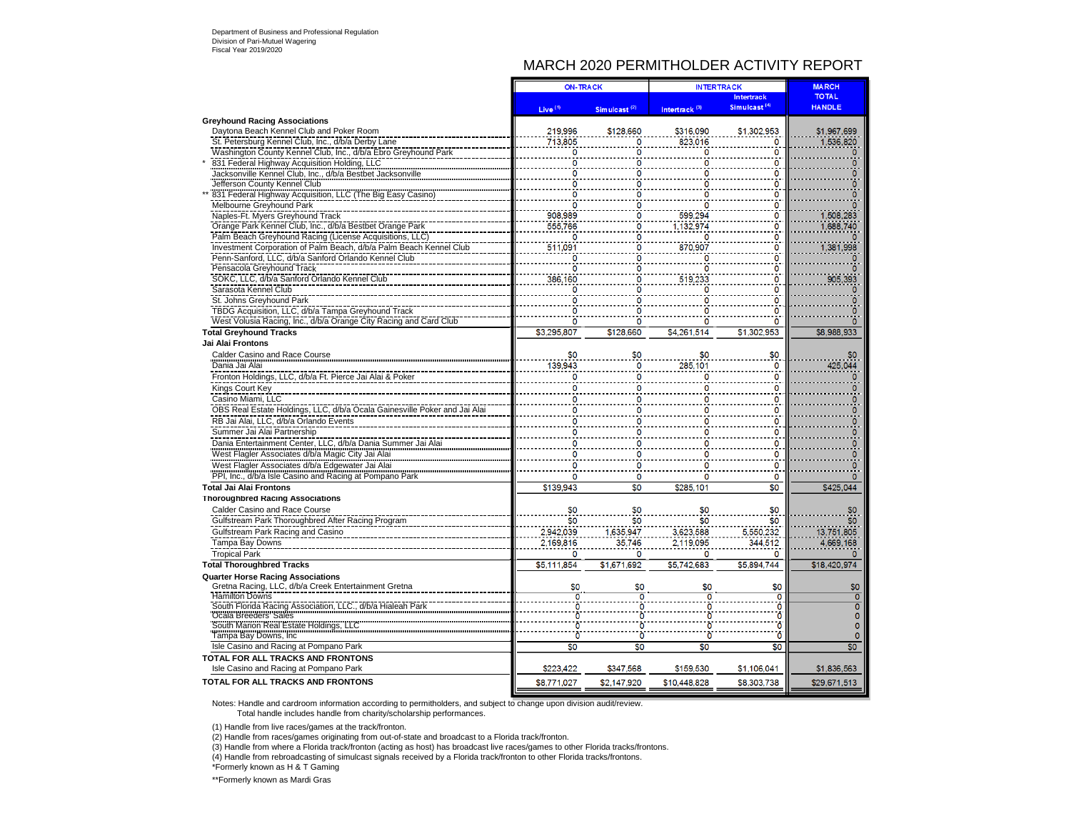## MARCH 2020 PERMITHOLDER ACTIVITY REPORT

|                                                                                                                               | <b>ON-TRACK</b>     |                          | <b>INTERTRACK</b>         |                              | <b>MARCH</b>           |
|-------------------------------------------------------------------------------------------------------------------------------|---------------------|--------------------------|---------------------------|------------------------------|------------------------|
|                                                                                                                               |                     |                          |                           | <b>Intertrack</b>            | <b>TOTAL</b>           |
|                                                                                                                               | Live <sup>(1)</sup> | Simulcast <sup>(2)</sup> | Intertrack <sup>(3)</sup> | Simulcast <sup>(4)</sup>     | <b>HANDLE</b>          |
| <b>Greyhound Racing Associations</b>                                                                                          |                     |                          |                           |                              |                        |
| Daytona Beach Kennel Club and Poker Room                                                                                      | 219,996             | \$128,660                | \$316,090                 | \$1,302,953                  | \$1,967,699            |
| St. Petersburg Kennel Club, Inc., d/b/a Derby Lane                                                                            | 713,805             |                          | 823,016                   | 0                            | 1,536,820              |
| Washington County Kennel Club, Inc., d/b/a Ebro Greyhound Park                                                                | n                   |                          |                           | o                            |                        |
| 831 Federal Highway Acquisition Holding, LLC                                                                                  |                     |                          |                           |                              |                        |
| Jacksonville Kennel Club, Inc., d/b/a Bestbet Jacksonville                                                                    | n                   |                          |                           | n                            |                        |
| Jefferson County Kennel Club                                                                                                  |                     |                          |                           | O                            |                        |
| 831 Federal Highway Acquisition, LLC (The Big Easy Casino)                                                                    |                     |                          |                           |                              |                        |
| <b>Melbourne Greyhound Park</b>                                                                                               | 0                   | O                        |                           | O<br>$\mathbf 0$             |                        |
| Naples-Ft. Myers Greyhound Track                                                                                              | 908,989<br>555,766  | n                        | 599.294<br>1.132,974      | $\overline{0}$               | 1,508,283<br>1,688,740 |
| Orange Park Kennel Club, Inc., d/b/a Bestbet Orange Park                                                                      |                     |                          |                           |                              |                        |
| Palm Beach Greyhound Racing (License Acquisitions, LLC)<br>Investment Corporation of Palm Beach, d/b/a Palm Beach Kennel Club | 511.091             |                          | 870.907                   | 0<br>0                       |                        |
| Penn-Sanford, LLC, d/b/a Sanford Orlando Kennel Club                                                                          | 0                   |                          | 0                         | O                            | 1,381,998              |
| Pensacola Greyhound Track                                                                                                     | O                   | 0<br>٥                   | O                         | 0                            |                        |
| SOKC, LLC, d/b/a Sanford Orlando Kennel Club                                                                                  | 386,160             | 0                        | 519,233                   | ō                            | 905,393                |
| Sarasota Kennel Club                                                                                                          | 0                   | 0                        | Ō                         | $\overline{0}$               |                        |
| St. Johns Greyhound Park                                                                                                      | Ω                   |                          |                           | n                            |                        |
| TBDG Acquisition, LLC, d/b/a Tampa Greyhound Track                                                                            |                     |                          |                           |                              |                        |
| West Volusia Racing, Inc., d/b/a Orange City Racing and Card Club                                                             | $\Omega$            | 0                        | n                         | $\Omega$                     | $\Omega$               |
| <b>Total Greyhound Tracks</b>                                                                                                 | \$3,295,807         | \$128,660                | \$4,261,514               | \$1,302,953                  | \$8,988,933            |
| Jai Alai Frontons                                                                                                             |                     |                          |                           |                              |                        |
|                                                                                                                               |                     |                          |                           |                              |                        |
| Calder Casino and Race Course<br>Dania Jai Alai                                                                               | \$0<br>139,943      | \$0<br>0                 | \$0<br>285,101            | \$0<br>$\Omega$              | \$0<br>425,044         |
|                                                                                                                               | 0                   |                          | O                         | 0                            |                        |
| Fronton Holdings, LLC, d/b/a Ft. Pierce Jai Alai & Poker                                                                      | n                   | 0                        | n                         | $\overline{0}$               |                        |
| Kings Court Key                                                                                                               |                     | 0                        |                           |                              |                        |
| Casino Miami, LLC                                                                                                             | Ω                   |                          |                           | Ω                            |                        |
| OBS Real Estate Holdings, LLC, d/b/a Ocala Gainesville Poker and Jai Alai                                                     | O                   | o                        | O                         | O                            |                        |
| RB Jai Alai, LLC, d/b/a Orlando Events                                                                                        | 0                   |                          |                           | $\Omega$                     | 0                      |
| Summer Jai Alai Partnership                                                                                                   | 0                   |                          | n                         | O                            | $\mathbf{0}$           |
| Dania Entertainment Center, LLC, d/b/a Dania Summer Jai Alai                                                                  | 0                   |                          |                           | о                            | 0                      |
| West Flagler Associates d/b/a Magic City Jai Alai                                                                             | 0                   |                          |                           | O                            |                        |
| West Flagler Associates d/b/a Edgewater Jai Alai                                                                              | O                   | 0                        |                           | n                            | $\Omega$               |
| PPI, Inc., d/b/a Isle Casino and Racing at Pompano Park                                                                       | $\circ$             | 0                        | n                         | 0                            | O                      |
| <b>Total Jai Alai Frontons</b>                                                                                                | \$139,943           | $\overline{\$0}$         | \$285,101                 | $\overline{\$0}$             | \$425,044              |
| <b>Thoroughbred Racing Associations</b>                                                                                       |                     |                          |                           |                              |                        |
| Calder Casino and Race Course                                                                                                 | \$0                 | \$0                      | \$0                       | \$0                          | \$0                    |
| Gulfstream Park Thoroughbred After Racing Program                                                                             | \$0                 | \$0                      | \$0                       | \$0                          | \$0                    |
| Gulfstream Park Racing and Casino                                                                                             | 2,942,039           | 1,635,947                | 3,623,588                 | 5,550,232                    | 13,751,805             |
| Tampa Bay Downs                                                                                                               | 2,169,816           | 35,746                   | 2,119,095                 | 344,512                      | 4,669,168              |
| <b>Tropical Park</b>                                                                                                          | 0                   | 0                        | 0                         | 0                            | $\Omega$               |
| <b>Total Thoroughbred Tracks</b>                                                                                              | \$5,111,854         | \$1,671,692              | \$5,742,683               | \$5,894,744                  | \$18,420,974           |
| <b>Quarter Horse Racing Associations</b>                                                                                      |                     |                          |                           |                              |                        |
| Gretna Racing, LLC, d/b/a Creek Entertainment Gretna                                                                          | \$0                 | \$0                      | \$0                       | \$0                          | \$0                    |
| <b>Hamilton Downs</b>                                                                                                         | $\overline{0}$      | $\overline{0}$           | $\overline{0}$            | $\overline{\mathbf{0}}$      | $\overline{0}$         |
| South Florida Racing Association, LLC., d/b/a Hialeah Park<br>Ocala Breeders' Sales                                           | Ō                   |                          |                           | $\mathbf 0$                  | $\overline{0}$         |
| South Marion Real Estate Holdings, LLC                                                                                        |                     |                          |                           | Ö<br>$\overline{\mathbf{0}}$ | $\Omega$<br>$\Omega$   |
| Tampa Bay Downs, Inc.                                                                                                         |                     | $\ddot{\mathbf{0}}$      |                           | $\ddot{\mathbf{0}}$          | $\Omega$               |
| Isle Casino and Racing at Pompano Park                                                                                        | \$0                 | \$0                      | \$0                       | \$0                          | \$0                    |
| TOTAL FOR ALL TRACKS AND FRONTONS                                                                                             |                     |                          |                           |                              |                        |
| Isle Casino and Racing at Pompano Park                                                                                        | \$223,422           | \$347,568                | \$159,530                 | \$1,106,041                  | \$1,836,563            |
|                                                                                                                               |                     |                          |                           |                              |                        |
| <b>TOTAL FOR ALL TRACKS AND FRONTONS</b>                                                                                      | \$8,771,027         | \$2,147,920              | \$10,448,828              | \$8,303,738                  | \$29,671,513           |

Notes: Handle and cardroom information according to permitholders, and subject to change upon division audit/review. Total handle includes handle from charity/scholarship performances.

(1) Handle from live races/games at the track/fronton.

(2) Handle from races/games originating from out-of-state and broadcast to a Florida track/fronton.

(3) Handle from where a Florida track/fronton (acting as host) has broadcast live races/games to other Florida tracks/frontons.

(4) Handle from rebroadcasting of simulcast signals received by a Florida track/fronton to other Florida tracks/frontons.

\*Formerly known as H & T Gaming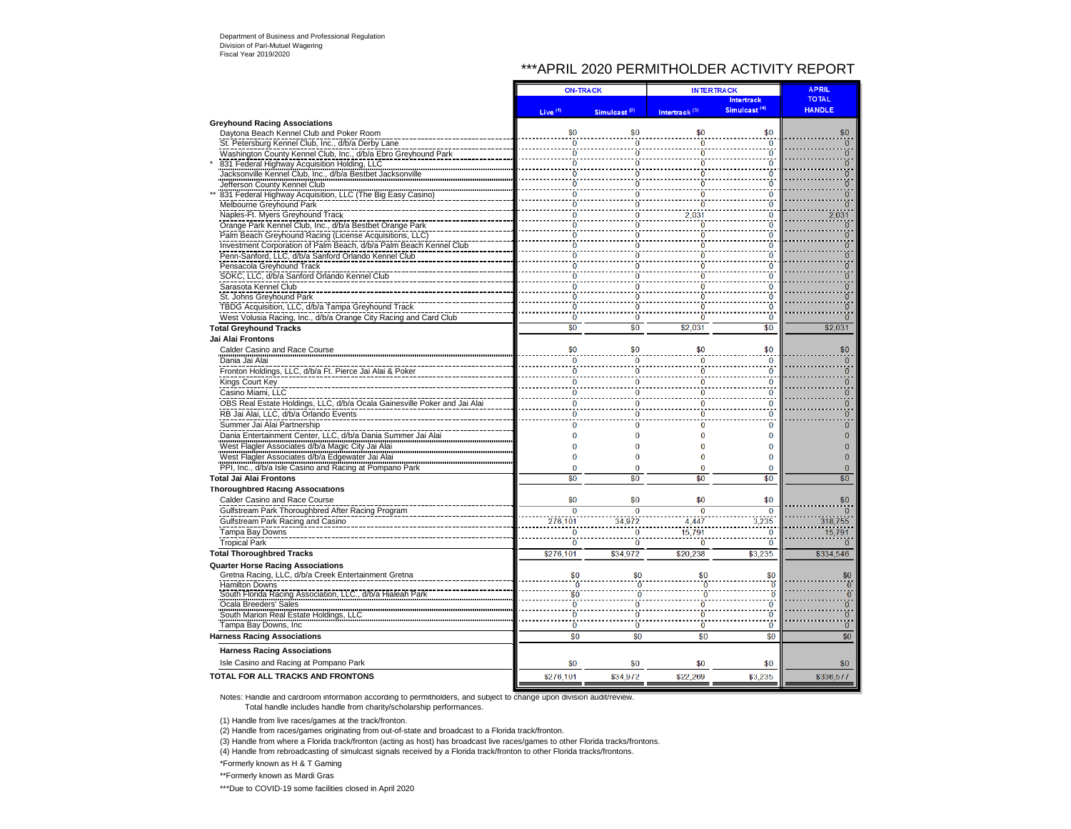## \*\*\*APRIL 2020 PERMITHOLDER ACTIVITY REPORT

|                                                                           |                     | <b>ON-TRACK</b>          |                           | <b>INTERTRACK</b>        |                |
|---------------------------------------------------------------------------|---------------------|--------------------------|---------------------------|--------------------------|----------------|
|                                                                           |                     |                          |                           | <b>Intertrack</b>        | <b>TOTAL</b>   |
|                                                                           | Live <sup>(1)</sup> | Simulcast <sup>(2)</sup> | Intertrack <sup>(3)</sup> | Simulcast <sup>(4)</sup> | <b>HANDLE</b>  |
| <b>Greyhound Racing Associations</b>                                      |                     |                          |                           |                          |                |
| Daytona Beach Kennel Club and Poker Room                                  | \$0                 | \$0                      | \$0                       | \$0                      | \$0            |
| St. Petersburg Kennel Club, Inc., d/b/a Derby Lane                        | $\overline{0}$      | $\bf{0}$                 | $\bf{0}$                  | $\Omega$                 | $\overline{0}$ |
| Washington County Kennel Club, Inc., d/b/a Ebro Greyhound Park            | $\ddot{\mathbf{0}}$ | $\overline{0}$           | Ò                         | ö                        | $\overline{0}$ |
| 831 Federal Highway Acquisition Holding, LLC                              | $\ddot{\mathbf{0}}$ | $\overline{0}$           | Ō                         | Ō                        | $\overline{0}$ |
| Jacksonville Kennel Club, Inc., d/b/a Bestbet Jacksonville                |                     | ö                        |                           | n                        | $\overline{0}$ |
| Jefferson County Kennel Club                                              | ō                   | ō                        | Ō                         | O                        | $\overline{0}$ |
| 831 Federal Highway Acquisition, LLC (The Big Easy Casino)                | $\bf{0}$            | Ō                        | Ō                         | $\bf{0}$                 | $\overline{0}$ |
| Melbourne Greyhound Park                                                  | $\ddot{\mathbf{0}}$ | $\overline{\mathbf{0}}$  | Ō                         | ö                        | $\overline{0}$ |
| Naples-Ft. Myers Greyhound Track                                          | Ō                   | $\overline{0}$           | 2,031                     | $\bf{0}$                 | 2,031          |
| Orange Park Kennel Club, Inc., d/b/a Bestbet Orange Park                  | ō                   | ō                        | $\overline{0}$            | n                        | $\bf{0}$       |
| Palm Beach Greyhound Racing (License Acquisitions, LLC)                   | ò                   | Ö                        | ò                         | ö                        | 0              |
| Investment Corporation of Palm Beach, d/b/a Palm Beach Kennel Club        | n                   | 0                        | n                         | o                        | ö              |
| Penn-Sanford, LLC, d/b/a Sanford Orlando Kennel Club                      | ō                   |                          |                           | Ö                        | $\pmb{0}$      |
| Pensacola Greyhound Track                                                 | $\overline{0}$      | ō                        | Ō                         | $\bf{0}$                 | $\overline{0}$ |
| SOKC, LLC, d/b/a Sanford Orlando Kennel Club                              | 0                   | 0                        | 0                         | $\bf{0}$                 | $\overline{0}$ |
| Sarasota Kennel Club                                                      | $\Omega$            | ō                        | n                         | O                        | $\overline{0}$ |
| St. Johns Greyhound Park                                                  | Ō                   | ō                        | Ō                         | Ō                        | $\overline{0}$ |
| TBDG Acquisition, LLC, d/b/a Tampa Greyhound Track                        | $\ddot{\mathbf{0}}$ | $\overline{0}$           | õ                         | ö                        | $\overline{0}$ |
| West Volusia Racing, Inc., d/b/a Orange City Racing and Card Club         | Ō                   | $\overline{0}$           | ò                         | $\overline{0}$           | $\overline{0}$ |
| <b>Total Greyhound Tracks</b>                                             | \$0                 | \$0                      | \$2.031                   | \$0                      | \$2,031        |
| Jai Alai Frontons                                                         |                     |                          |                           |                          |                |
| Calder Casino and Race Course                                             | \$0                 | \$0                      | \$0                       | \$0                      | \$0            |
| Dania Jai Alai                                                            | $\bf{0}$            | $\bf{0}$                 | 0                         | $\bf{0}$                 | $\bf{0}$       |
| Fronton Holdings, LLC, d/b/a Ft. Pierce Jai Alai & Poke                   | $\Omega$            | $\overline{0}$           | $\ddot{\mathbf{0}}$       | Ö                        | 0              |
| Kings Court Key                                                           | $\bf{0}$            | 0                        | 0                         | $\bf{0}$                 | $\mathbf{0}$   |
| Casino Miami, LLC                                                         | $\Omega$            | ō                        | ō                         | ŋ                        | $\overline{0}$ |
| OBS Real Estate Holdings, LLC, d/b/a Ocala Gainesville Poker and Jai Alai | $\bf{0}$            | 0                        | 0                         | 0                        | 0              |
| RB Jai Alai, LLC, d/b/a Orlando Events                                    | O                   | 0                        | 0                         | $\Omega$                 | $\overline{0}$ |
| Summer Jai Alai Partnership                                               |                     | O                        |                           | 0                        | 0              |
| Dania Entertainment Center, LLC, d/b/a Dania Summer Jai Alai              | $\Omega$            | 0                        | $\overline{0}$            | $\Omega$                 | $\pmb{0}$      |
| West Flagler Associates d/b/a Magic City Jai Alai                         | $\Omega$            | 0                        | $\Omega$                  | $\bf{0}$                 | $\overline{0}$ |
| West Flagler Associates d/b/a Edgewater Jai Alai                          | O                   | O                        | n                         | $\bf{0}$                 | 0              |
| PPI, Inc., d/b/a Isle Casino and Racing at Pompano Park                   | $\bf{0}$            | 0                        | 0                         | $\bf{0}$                 | $\mathbf{0}$   |
| <b>Total Jai Alai Frontons</b>                                            | \$0                 | \$0                      | \$0                       | \$0                      | \$0            |
|                                                                           |                     |                          |                           |                          |                |
| <b>Thoroughbred Racing Associations</b>                                   |                     |                          |                           |                          |                |
| Calder Casino and Race Course                                             | \$0                 | \$0                      | \$0                       | \$0                      | \$0            |
| Gulfstream Park Thoroughbred After Racing Program                         | $\overline{0}$      | $\overline{0}$           | $\overline{0}$            | $\overline{0}$           |                |
| Gulfstream Park Racing and Casino                                         | 276.101             | 34.972                   | 4,447                     | 3.235                    | 318.755        |
| Tampa Bay Downs                                                           | $\mathbf{0}$        | $\mathbf{0}$             | 15,791                    | $\mathbf{0}$             | 15,791         |
| <b>Tropical Park</b>                                                      | $\bf{0}$            | $\overline{0}$           | 0                         | $\bf{0}$                 | $\mathbf{0}$   |
| <b>Total Thoroughbred Tracks</b>                                          | \$276,101           | \$34.972                 | \$20,238                  | \$3.235                  | \$334.546      |
| <b>Quarter Horse Racing Associations</b>                                  |                     |                          |                           |                          |                |
| Gretna Racing, LLC, d/b/a Creek Entertainment Gretna                      | \$0                 | \$0                      | \$0                       | \$0                      | \$0            |
| <b>Hamilton Downs</b>                                                     | Ō                   | $\ddot{\mathbf{0}}$      | Ō                         | 'n                       | $\overline{0}$ |
| South Florida Racing Association, LLC., d/b/a Hialeah Park                | \$0                 | $\ddot{\mathbf{0}}$      | $\ddot{\mathbf{0}}$       | $\overline{0}$           | $\overline{0}$ |
| Ocala Breeders' Sales                                                     | $\ddot{\mathbf{0}}$ | $\overline{0}$           | $\bar{0}$                 | ō                        | $\overline{0}$ |
| South Marion Real Estate Holdings, LLC                                    | $\ddot{\mathbf{0}}$ | $\overline{0}$           | $\bar{0}$                 | ö                        | $\overline{0}$ |
| Tampa Bay Downs, Inc.                                                     | $\ddot{\mathbf{0}}$ | $\overline{0}$           | Ō                         | $\overline{0}$           | $\overline{0}$ |
| <b>Harness Racing Associations</b>                                        | \$0                 | \$0                      | \$0                       | \$0                      | \$0            |
| <b>Harness Racing Associations</b>                                        |                     |                          |                           |                          |                |
|                                                                           |                     |                          |                           |                          |                |
| Isle Casino and Racing at Pompano Park                                    | \$0                 | \$0                      | \$0                       | \$0                      | \$0            |
| TOTAL FOR ALL TRACKS AND FRONTONS                                         | \$276,101           | \$34,972                 | \$22,269                  | \$3,235                  | \$336,511      |
|                                                                           |                     |                          |                           |                          |                |

Notes: Handle and cardroom information according to permitholders, and subject to change upon division audit/review. Total handle includes handle from charity/scholarship performances.

(1) Handle from live races/games at the track/fronton.

(2) Handle from races/games originating from out-of-state and broadcast to a Florida track/fronton.

(3) Handle from where a Florida track/fronton (acting as host) has broadcast live races/games to other Florida tracks/frontons.

(4) Handle from rebroadcasting of simulcast signals received by a Florida track/fronton to other Florida tracks/frontons.

\*Formerly known as H & T Gaming

\*\*Formerly known as Mardi Gras

\*\*\*Due to COVID-19 some facilities closed in April 2020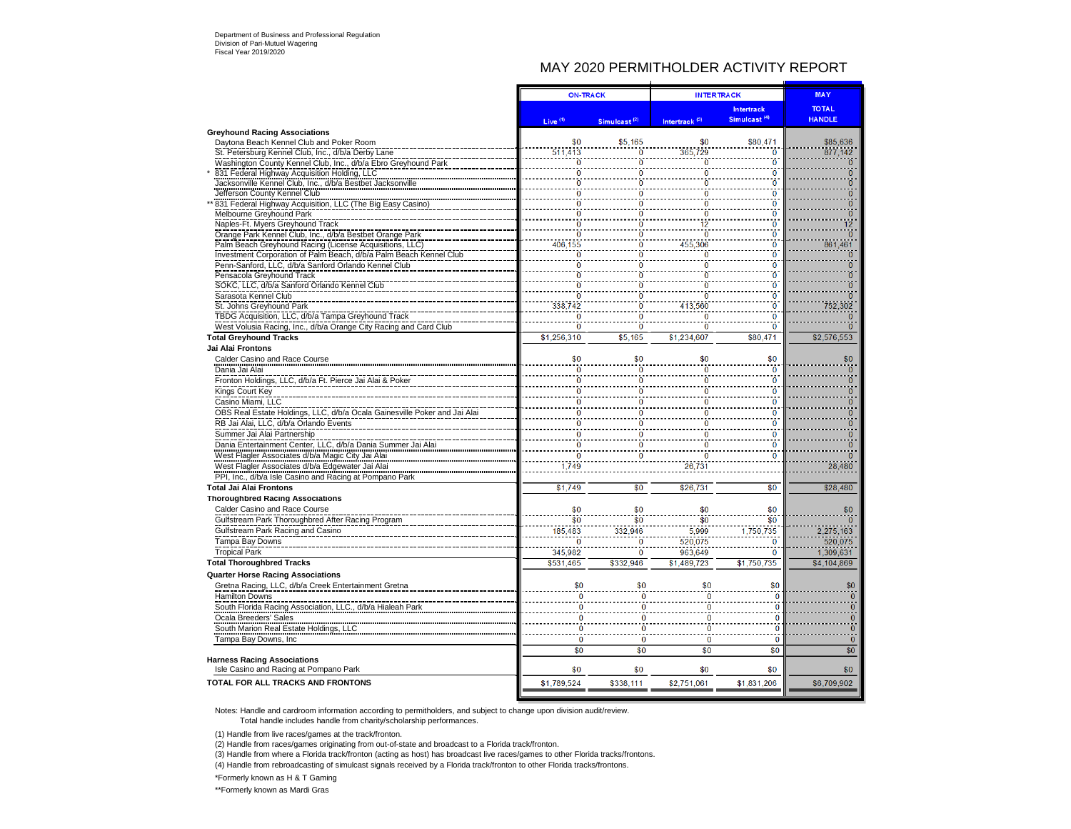# MAY 2020 PERMITHOLDER ACTIVITY REPORT

 $\mathbf{r}$ 

|                                                                                                                |                     | <b>ON-TRACK</b>          | <b>INTERTRACK</b>         |                          | <b>MAY</b>          |
|----------------------------------------------------------------------------------------------------------------|---------------------|--------------------------|---------------------------|--------------------------|---------------------|
|                                                                                                                |                     |                          |                           | Intertrack               | <b>TOTAL</b>        |
|                                                                                                                | Live <sup>(1)</sup> | Simulcast <sup>(2)</sup> | Intertrack <sup>(3)</sup> | Simulcast <sup>(4)</sup> | <b>HANDLE</b>       |
| <b>Greyhound Racing Associations</b>                                                                           |                     |                          |                           |                          |                     |
| Daytona Beach Kennel Club and Poker Room                                                                       | \$0                 | \$5,165                  | \$0<br>365,729            | \$80,471                 | \$85,636<br>877.142 |
| St. Petersburg Kennel Club, Inc., d/b/a Derby Lane                                                             | 511,413<br>$\Omega$ | 0<br>ō                   | Ō                         | Ō<br>Ō                   | $\Omega$            |
| Washington County Kennel Club, Inc., d/b/a Ebro Greyhound Park<br>831 Federal Highway Acquisition Holding, LLC |                     | ö<br>$\overline{0}$      | 0                         | Ō                        | $\overline{0}$      |
| Jacksonville Kennel Club, Inc., d/b/a Bestbet Jacksonville                                                     | $\overline{0}$      | 'n                       | n                         | n                        | $\overline{0}$      |
| Jefferson County Kennel Club                                                                                   | $\overline{0}$      |                          |                           | $\Omega$                 | $\boldsymbol{0}$    |
| 831 Federal Highway Acquisition, LLC (The Big Easy Casino)                                                     | $\overline{0}$      | O                        | O                         | O                        | $\overline{0}$      |
| Melbourne Greyhound Park                                                                                       | $\ddot{\mathbf{0}}$ | $\overline{0}$           |                           | ö                        | $\overline{0}$      |
| Naples-Ft. Myers Greyhound Track                                                                               | ö                   | ö                        |                           | n                        | 12 <sup>12</sup>    |
| Orange Park Kennel Club, Inc., d/b/a Bestbet Orange Park                                                       | ò                   |                          |                           | $\Omega$                 | $\overline{0}$      |
| Palm Beach Greyhound Racing (License Acquisitions, LLC)                                                        | 406,155             | O                        | 455,306                   | n                        | 861,461             |
| Investment Corporation of Palm Beach, d/b/a Palm Beach Kennel Club                                             | Ö                   | $\overline{0}$           | n                         | ö                        | $\overline{0}$      |
| Penn-Sanford, LLC, d/b/a Sanford Orlando Kennel Club                                                           | n                   | Ō                        | n                         | n                        | $\mathbf{0}$        |
| Pensacola Greyhound Track                                                                                      | Ō                   |                          |                           | O                        | $\overline{0}$      |
| SOKC, LLC, d/b/a Sanford Orlando Kennel Club                                                                   | $\overline{0}$      | ō                        | n                         | $\Omega$                 | $\Omega$            |
| Sarasota Kennel Club                                                                                           |                     | $\ddot{\mathbf{0}}$<br>ö |                           | ö                        | $\Omega$            |
| St. Johns Greyhound Park                                                                                       | 338,742             | $\overline{0}$           | 413,560                   | ö                        | 752,302             |
| TBDG Acquisition, LLC, d/b/a Tampa Greyhound Track                                                             |                     | ö<br>ö                   |                           | n                        | $\mathbf{0}$        |
| West Volusia Racing, Inc., d/b/a Orange City Racing and Card Club                                              |                     | ö                        |                           | O                        |                     |
| <b>Total Greyhound Tracks</b>                                                                                  | \$1,256,310         | \$5,165                  | \$1,234,607               | \$80,471                 | \$2,576,553         |
| Jai Alai Frontons                                                                                              |                     |                          |                           |                          |                     |
| Calder Casino and Race Course                                                                                  | \$0                 | \$0                      | \$0                       | \$0                      | \$0                 |
| Dania Jai Alai                                                                                                 | 0                   | 0                        | 0                         | $\bf{0}$                 | $\bf{0}$            |
| Fronton Holdings, LLC, d/b/a Ft. Pierce Jai Alai & Poker                                                       | n                   | $\bf{0}$                 | n                         | n                        | $\mathbf{0}$        |
| Kings Court Key                                                                                                | $\bf{0}$            | $\bf{0}$                 | $\bf{0}$                  | $\Omega$                 | $\overline{0}$      |
| Casino Miami, LLC                                                                                              | $\ddot{\mathbf{0}}$ | $\overline{0}$           | $\ddot{\mathbf{0}}$       | Ō                        | $\overline{0}$      |
| OBS Real Estate Holdings, LLC, d/b/a Ocala Gainesville Poker and Jai Alai                                      | $\Omega$            | n                        |                           | n                        | $\mathbf{0}$        |
| RB Jai Alai, LLC, d/b/a Orlando Events                                                                         |                     | 0<br>0                   |                           | 0                        | $\bf{0}$            |
| Summer Jai Alai Partnership                                                                                    | $\bf{0}$            | $\overline{0}$           | 0                         | $\bf{0}$                 | $\overline{0}$      |
| Dania Entertainment Center, LLC, d/b/a Dania Summer Jai Alai                                                   | $\overline{0}$      | $\overline{0}$           | n                         | $\mathbf{0}$             | $\overline{0}$      |
| West Flagler Associates d/b/a Magic City Jai Alai                                                              | $\bf{0}$            |                          |                           |                          |                     |
| West Flagler Associates d/b/a Edgewater Jai Alai                                                               | .749                |                          | 26,731                    |                          | 28,480              |
| PPI, Inc., d/b/a Isle Casino and Racing at Pompano Park                                                        |                     |                          |                           |                          |                     |
| <b>Total Jai Alai Frontons</b>                                                                                 | \$1,749             | \$0                      | \$26,731                  | \$0                      | \$28,480            |
| <b>Thoroughbred Racing Associations</b>                                                                        |                     |                          |                           |                          |                     |
| Calder Casino and Race Course                                                                                  | \$0                 | \$0                      | \$0                       | \$0                      | \$0                 |
| Gulfstream Park Thoroughbred After Racing Program                                                              | \$0                 | \$0                      | \$Ò                       | \$0                      |                     |
| Gulfstream Park Racing and Casino                                                                              | 185,483             | 332,946                  | 5.999                     | 1,750,735                | 2,275,163           |
| Tampa Bay Downs                                                                                                |                     | $\ddot{\mathbf{0}}$<br>0 | 520,075                   | $\overline{0}$           | 520.075             |
| <b>Tropical Park</b>                                                                                           | 345,982             | 0                        | 963,649                   | $\bf{0}$                 | 1,309,631           |
| <b>Total Thoroughbred Tracks</b>                                                                               | \$531,465           | \$332,946                | \$1,489,723               | \$1,750,735              | \$4,104,869         |
| <b>Quarter Horse Racing Associations</b>                                                                       |                     |                          |                           |                          |                     |
| Gretna Racing, LLC, d/b/a Creek Entertainment Gretna                                                           | \$0                 | \$0                      | \$0                       | \$0                      | \$0                 |
| Hamilton Downs                                                                                                 |                     | $\mathbf{0}$<br>$\Omega$ | n                         | $\bf{0}$                 | $\Omega$            |
| South Florida Racing Association, LLC., d/b/a Hialeah Park                                                     |                     | $\bf{0}$                 |                           | $\Omega$                 | $\Omega$            |
| Ocala Breeders' Sales                                                                                          |                     | $\Omega$                 | n                         | $\overline{0}$           | $\mathbf{0}$        |
| South Marion Real Estate Holdings, LLC                                                                         |                     | O                        | n                         | $\overline{0}$           | $\overline{0}$      |
| Tampa Bay Downs, Inc                                                                                           |                     | $\Omega$<br>$\Omega$     | $\Omega$                  | $\overline{0}$           | $\Omega$            |
|                                                                                                                |                     | \$0<br>\$0               | \$0                       | \$0                      | \$0                 |
| <b>Harness Racing Associations</b>                                                                             |                     |                          |                           |                          |                     |
| Isle Casino and Racing at Pompano Park                                                                         | \$0                 | \$0                      | \$0                       | \$0                      | \$0                 |
| <b>TOTAL FOR ALL TRACKS AND FRONTONS</b>                                                                       | \$1,789,524         | \$338,111                | \$2,751,061               | \$1,831,206              | \$6,709,902         |
|                                                                                                                |                     |                          |                           |                          |                     |

Notes: Handle and cardroom information according to permitholders, and subject to change upon division audit/review. Total handle includes handle from charity/scholarship performances.

(1) Handle from live races/games at the track/fronton.

(2) Handle from races/games originating from out-of-state and broadcast to a Florida track/fronton.

(3) Handle from where a Florida track/fronton (acting as host) has broadcast live races/games to other Florida tracks/frontons.

(4) Handle from rebroadcasting of simulcast signals received by a Florida track/fronton to other Florida tracks/frontons.

\*Formerly known as H & T Gaming